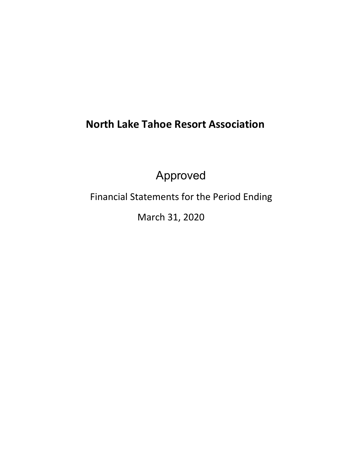# **North Lake Tahoe Resort Association**

Approved

Financial Statements for the Period Ending

March 31, 2020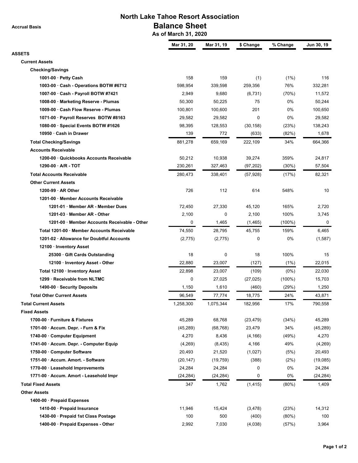**Accrual Basis**

# **North Lake Tahoe Resort Association Balance Sheet**

 **As of March 31, 2020**

|                                                                   | Mar 31, 20          | Mar 31, 19          | \$ Change        | % Change     | Jun 30, 19          |
|-------------------------------------------------------------------|---------------------|---------------------|------------------|--------------|---------------------|
| <b>ASSETS</b>                                                     |                     |                     |                  |              |                     |
| <b>Current Assets</b>                                             |                     |                     |                  |              |                     |
| <b>Checking/Savings</b><br>1001-00 $\cdot$ Petty Cash             | 158                 | 159                 | (1)              | (1%)         | 116                 |
| 1003-00 · Cash - Operations BOTW #6712                            | 598,954             | 339,598             | 259,356          | 76%          | 332,281             |
| 1007-00 · Cash - Payroll BOTW #7421                               | 2,949               | 9,680               | (6,731)          | (70%)        | 11,572              |
| 1008-00 · Marketing Reserve - Plumas                              | 50,300              | 50,225              | 75               | 0%           | 50,244              |
| 1009-00 · Cash Flow Reserve - Plumas                              | 100,801             | 100,600             | 201              | 0%           | 100,650             |
| 1071-00 · Payroll Reserves BOTW #8163                             | 29,582              | 29,582              | $\Omega$         | 0%           | 29,582              |
| 1080-00 · Special Events BOTW #1626                               | 98,395              | 128,553             | (30, 158)        | (23%)        | 138,243             |
| 10950 · Cash in Drawer                                            | 139                 | 772                 | (633)            | (82%)        | 1,678               |
| <b>Total Checking/Savings</b>                                     | 881,278             | 659,169             | 222,109          | 34%          | 664,366             |
| <b>Accounts Receivable</b>                                        |                     |                     |                  |              |                     |
| 1200-00 · Quickbooks Accounts Receivable                          | 50,212              | 10,938              | 39,274           | 359%         | 24,817              |
| $1290-00 \cdot A/R - TOT$                                         | 230,261             | 327,463             | (97, 202)        | $(30\%)$     | 57,504              |
| <b>Total Accounts Receivable</b>                                  | 280.473             | 338,401             | (57, 928)        | (17%)        | 82,321              |
| <b>Other Current Assets</b>                                       |                     |                     |                  |              |                     |
| 1200-99 $\cdot$ AR Other                                          | 726                 | 112                 | 614              | 548%         | 10                  |
| 1201-00 · Member Accounts Receivable                              |                     |                     |                  |              |                     |
| 1201-01 · Member AR - Member Dues                                 | 72,450              | 27,330              | 45,120           | 165%         | 2,720               |
| 1201-03 · Member AR - Other                                       | 2,100               | 0                   | 2,100            | 100%         | 3,745               |
| 1201-00 · Member Accounts Receivable - Other                      | 0                   | 1,465               | (1, 465)         | $(100\%)$    | $\mathbf 0$         |
| Total 1201-00 · Member Accounts Receivable                        | 74,550              | 28,795              | 45,755           | 159%         | 6,465               |
| 1201-02 · Allowance for Doubtful Accounts                         | (2,775)             | (2,775)             | $\mathbf 0$      | 0%           | (1, 587)            |
| 12100 · Inventory Asset                                           |                     |                     |                  |              |                     |
| 25300 · Gift Cards Outstanding                                    | 18                  | 0                   | 18               | 100%         | 15                  |
| 12100 · Inventory Asset - Other                                   | 22,880              | 23,007              | (127)            | (1%)         | 22,015              |
| Total 12100 · Inventory Asset                                     | 22,898              | 23,007              | (109)            | $(0\%)$      | 22,030              |
| 1299 · Receivable from NLTMC                                      | 0                   | 27,025              | (27, 025)        | $(100\%)$    | 15,703              |
| 1490-00 · Security Deposits                                       | 1,150               | 1,610               | (460)            | (29%)        | 1,250               |
| <b>Total Other Current Assets</b>                                 | 96,549              | 77,774              | 18,775           | 24%          | 43,871              |
|                                                                   |                     |                     |                  |              |                     |
| <b>Total Current Assets</b><br><b>Fixed Assets</b>                | 1,258,300           | 1,075,344           | 182,956          | 17%          | 790,558             |
| 1700-00 · Furniture & Fixtures                                    | 45,289              | 68,768              | (23, 479)        | (34%)        | 45,289              |
| 1701-00 · Accum. Depr. - Furn & Fix                               | (45, 289)           | (68, 768)           | 23,479           | 34%          | (45, 289)           |
| 1740-00 Computer Equipment                                        | 4,270               | 8,436               | (4, 166)         | (49%)        | 4,270               |
| 1741-00 · Accum. Depr. - Computer Equip                           | (4,269)             | (8, 435)            | 4,166            | 49%          | (4, 269)            |
|                                                                   |                     |                     |                  |              |                     |
| 1750-00 · Computer Software<br>1751-00 · Accum. Amort. - Software | 20,493<br>(20, 147) | 21,520<br>(19, 759) | (1,027)<br>(388) | (5%)<br>(2%) | 20,493<br>(19,085)  |
| 1770-00 · Leasehold Improvements                                  |                     |                     | 0                |              |                     |
|                                                                   | 24,284              | 24,284              |                  | 0%<br>0%     | 24,284<br>(24, 284) |
| 1771-00 · Accum. Amort - Leasehold Impr                           | (24, 284)           | (24, 284)           | 0                |              |                     |
| <b>Total Fixed Assets</b>                                         | 347                 | 1,762               | (1, 415)         | (80%)        | 1,409               |
| <b>Other Assets</b>                                               |                     |                     |                  |              |                     |
| 1400-00 · Prepaid Expenses                                        |                     |                     |                  |              |                     |
| 1410-00 · Prepaid Insurance                                       | 11,946              | 15,424              | (3, 478)         | (23%)        | 14,312              |
| 1430-00 · Prepaid 1st Class Postage                               | 100                 | 500                 | (400)            | (80%)        | 100                 |
| 1400-00 · Prepaid Expenses - Other                                | 2,992               | 7,030               | (4,038)          | (57%)        | 3,964               |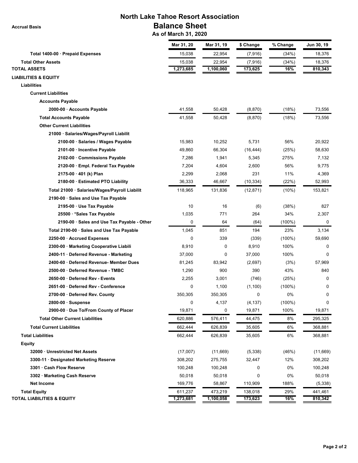**Accrual Basis**

## **North Lake Tahoe Resort Association Balance Sheet**

 **As of March 31, 2020**

|                                               | Mar 31, 20 | Mar 31, 19 | \$ Change | % Change  | Jun 30, 19 |
|-----------------------------------------------|------------|------------|-----------|-----------|------------|
| Total 1400-00 · Prepaid Expenses              | 15,038     | 22,954     | (7, 916)  | (34%)     | 18,376     |
| <b>Total Other Assets</b>                     | 15,038     | 22,954     | (7, 916)  | (34%)     | 18,376     |
| <b>TOTAL ASSETS</b>                           | 1,273,685  | 1,100,060  | 173,625   | 16%       | 810,343    |
| <b>LIABILITIES &amp; EQUITY</b>               |            |            |           |           |            |
| Liabilities                                   |            |            |           |           |            |
| <b>Current Liabilities</b>                    |            |            |           |           |            |
| <b>Accounts Payable</b>                       |            |            |           |           |            |
| 2000-00 · Accounts Payable                    | 41,558     | 50,428     | (8, 870)  | (18%)     | 73,556     |
| <b>Total Accounts Payable</b>                 | 41,558     | 50,428     | (8,870)   | (18%)     | 73,556     |
| <b>Other Current Liabilities</b>              |            |            |           |           |            |
| 21000 · Salaries/Wages/Payroll Liabilit       |            |            |           |           |            |
| 2100-00 · Salaries / Wages Payable            | 15,983     | 10,252     | 5,731     | 56%       | 20,922     |
| 2101-00 · Incentive Payable                   | 49,860     | 66,304     | (16, 444) | (25%)     | 58,630     |
| 2102-00 · Commissions Payable                 | 7,286      | 1,941      | 5,345     | 275%      | 7,132      |
| 2120-00 · Empl. Federal Tax Payable           | 7,204      | 4,604      | 2,600     | 56%       | 9,775      |
| 2175-00 · 401 (k) Plan                        | 2,299      | 2,068      | 231       | 11%       | 4,369      |
| 2180-00 · Estimated PTO Liability             | 36,333     | 46,667     | (10, 334) | (22%)     | 52,993     |
| Total 21000 · Salaries/Wages/Payroll Liabilit | 118,965    | 131,836    | (12, 871) | (10%)     | 153,821    |
| 2190-00 · Sales and Use Tax Payable           |            |            |           |           |            |
| 2195-00 · Use Tax Payable                     | 10         | 16         | (6)       | (38%)     | 827        |
| 25500 · * Sales Tax Payable                   | 1,035      | 771        | 264       | 34%       | 2,307      |
| 2190-00 · Sales and Use Tax Payable - Other   | 0          | 64         | (64)      | $(100\%)$ | 0          |
| Total 2190-00 · Sales and Use Tax Payable     | 1,045      | 851        | 194       | 23%       | 3,134      |
| 2250-00 · Accrued Expenses                    | 0          | 339        | (339)     | $(100\%)$ | 59,690     |
| 2300-00 · Marketing Cooperative Liabili       | 8,910      | 0          | 8,910     | 100%      | 0          |
| 2400-11 · Deferred Revenue - Marketing        | 37,000     | 0          | 37,000    | 100%      | 0          |
| 2400-60 · Deferred Revenue- Member Dues       | 81,245     | 83,942     | (2,697)   | (3%)      | 57,969     |
| 2500-00 · Deferred Revenue - TMBC             | 1,290      | 900        | 390       | 43%       | 840        |
| 2650-00 · Deferred Rev - Events               | 2,255      | 3,001      | (746)     | (25%)     | 0          |
| 2651-00 · Deferred Rev - Conference           | 0          | 1,100      | (1,100)   | $(100\%)$ | 0          |
| 2700-00 · Deferred Rev. County                | 350,305    | 350,305    | 0         | 0%        | 0          |
| 2800-00 · Suspense                            | 0          | 4,137      | (4, 137)  | (100%)    | 0          |
| 2900-00 · Due To/From County of Placer        | 19,871     | 0          | 19,871    | 100%      | 19,871     |
| <b>Total Other Current Liabilities</b>        | 620,886    | 576,411    | 44,475    | 8%        | 295,325    |
| <b>Total Current Liabilities</b>              | 662,444    | 626,839    | 35,605    | 6%        | 368,881    |
| <b>Total Liabilities</b>                      | 662,444    | 626,839    | 35,605    | 6%        | 368,881    |
| <b>Equity</b>                                 |            |            |           |           |            |
| 32000 · Unrestricted Net Assets               | (17,007)   | (11,669)   | (5,338)   | (46%)     | (11,669)   |
| 3300-11 · Designated Marketing Reserve        | 308,202    | 275,755    | 32,447    | 12%       | 308,202    |
| 3301 · Cash Flow Reserve                      | 100,248    | 100,248    | 0         | 0%        | 100,248    |
| 3302 · Marketing Cash Reserve                 | 50,018     | 50,018     | 0         | 0%        | 50,018     |
| Net Income                                    | 169,776    | 58,867     | 110,909   | 188%      | (5,338)    |
| <b>Total Equity</b>                           | 611,237    | 473,219    | 138,018   | 29%       | 441,461    |
| <b>TOTAL LIABILITIES &amp; EQUITY</b>         | 1,273,681  | 1,100,058  | 173,623   | 16%       | 810,342    |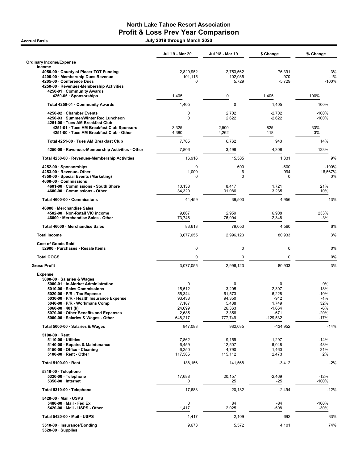## North Lake Tahoe Resort Association Profit & Loss Prev Year Comparison

Accrual Basis July 2019 through March 2020

|                                                                                                                                                                                                                                                                                                                                         | Jul '19 - Mar 20                                                       | Jul '18 - Mar 19                                                       | \$ Change                                                                   | % Change                                                       |
|-----------------------------------------------------------------------------------------------------------------------------------------------------------------------------------------------------------------------------------------------------------------------------------------------------------------------------------------|------------------------------------------------------------------------|------------------------------------------------------------------------|-----------------------------------------------------------------------------|----------------------------------------------------------------|
| <b>Ordinary Income/Expense</b><br>Income                                                                                                                                                                                                                                                                                                |                                                                        |                                                                        |                                                                             |                                                                |
| 4050-00 · County of Placer TOT Funding<br>4200-00 · Membership Dues Revenue<br>4205-00 · Conference Dues<br>4250-00 · Revenues-Membership Activities<br>4250-01 · Community Awards                                                                                                                                                      | 2,829,952<br>101,115<br>0                                              | 2,753,562<br>102,085<br>5,729                                          | 76,391<br>-970<br>$-5,729$                                                  | 3%<br>$-1%$<br>$-100%$                                         |
| 4250-05 · Sponsorships                                                                                                                                                                                                                                                                                                                  | 1,405                                                                  | $\mathbf 0$                                                            | 1,405                                                                       | 100%                                                           |
| Total 4250-01 · Community Awards                                                                                                                                                                                                                                                                                                        | 1,405                                                                  | $\mathbf 0$                                                            | 1,405                                                                       | 100%                                                           |
| 4250-02 · Chamber Events<br>4250-03 · Summer/Winter Rec Luncheon<br>4251-00 · Tues AM Breakfast Club                                                                                                                                                                                                                                    | 0<br>0                                                                 | 2,702<br>2,622                                                         | $-2,702$<br>$-2,622$                                                        | $-100%$<br>$-100%$                                             |
| 4251-01 · Tues AM Breakfast Club Sponsors<br>4251-00 · Tues AM Breakfast Club - Other                                                                                                                                                                                                                                                   | 3,325<br>4,380                                                         | 2,500<br>4,262                                                         | 825<br>118                                                                  | 33%<br>3%                                                      |
| Total 4251-00 · Tues AM Breakfast Club                                                                                                                                                                                                                                                                                                  | 7,705                                                                  | 6,762                                                                  | 943                                                                         | 14%                                                            |
| 4250-00 · Revenues-Membership Activities - Other                                                                                                                                                                                                                                                                                        | 7,806                                                                  | 3,498                                                                  | 4,308                                                                       | 123%                                                           |
| Total 4250-00 · Revenues-Membership Activities                                                                                                                                                                                                                                                                                          | 16,916                                                                 | 15,585                                                                 | 1,331                                                                       | 9%                                                             |
| 4252-00 · Sponsorships<br>4253-00 · Revenue- Other<br>4350-00 · Special Events (Marketing)<br>4600-00 · Commissions                                                                                                                                                                                                                     | 0<br>1,000<br>0                                                        | 600<br>6<br>$\mathbf 0$                                                | $-600$<br>994<br>0                                                          | $-100%$<br>16,567%<br>0%                                       |
| 4601-00 · Commissions - South Shore<br>4600-00 · Commissions - Other                                                                                                                                                                                                                                                                    | 10,138<br>34,320                                                       | 8,417<br>31,086                                                        | 1,721<br>3,235                                                              | 21%<br>10%                                                     |
| Total 4600-00 · Commissions                                                                                                                                                                                                                                                                                                             | 44,459                                                                 | 39,503                                                                 | 4,956                                                                       | 13%                                                            |
| 46000 · Merchandise Sales<br>4502-00 · Non-Retail VIC income<br>46000 · Merchandise Sales - Other                                                                                                                                                                                                                                       | 9,867<br>73,746                                                        | 2,959<br>76,094                                                        | 6,908<br>$-2,348$                                                           | 233%<br>$-3%$                                                  |
| Total 46000 · Merchandise Sales                                                                                                                                                                                                                                                                                                         | 83,613                                                                 | 79,053                                                                 | 4,560                                                                       | 6%                                                             |
| <b>Total Income</b>                                                                                                                                                                                                                                                                                                                     | 3,077,055                                                              | 2,996,123                                                              | 80,933                                                                      | 3%                                                             |
| <b>Cost of Goods Sold</b><br>52900 · Purchases - Resale Items                                                                                                                                                                                                                                                                           | 0                                                                      | $\mathbf 0$                                                            | 0                                                                           | 0%                                                             |
| <b>Total COGS</b>                                                                                                                                                                                                                                                                                                                       | $\mathbf 0$                                                            | $\mathbf 0$                                                            | $\mathbf 0$                                                                 | 0%                                                             |
| <b>Gross Profit</b>                                                                                                                                                                                                                                                                                                                     | 3,077,055                                                              | 2,996,123                                                              | 80,933                                                                      | 3%                                                             |
| <b>Expense</b><br>5000-00 · Salaries & Wages<br>5000-01 · In-Market Administration<br>5010-00 · Sales Commissions<br>5020-00 · P/R - Tax Expense<br>5030-00 · P/R - Health Insurance Expense<br>5040-00 · P/R - Workmans Comp<br>5060-00 $\cdot$ 401 (k)<br>5070-00 · Other Benefits and Expenses<br>5000-00 · Salaries & Wages - Other | 0<br>15,512<br>55,344<br>93,438<br>7,187<br>24.699<br>2,685<br>648,217 | 0<br>13,205<br>61,573<br>94,350<br>5,438<br>26,363<br>3,356<br>777,749 | 0<br>2,307<br>$-6,228$<br>$-912$<br>1,749<br>$-1,664$<br>-671<br>$-129,532$ | 0%<br>18%<br>$-10%$<br>$-1%$<br>32%<br>$-6%$<br>-20%<br>$-17%$ |
| Total 5000-00 · Salaries & Wages                                                                                                                                                                                                                                                                                                        | 847,083                                                                | 982,035                                                                | $-134,952$                                                                  | $-14%$                                                         |
| $5100-00 \cdot$ Rent<br>5110-00 · Utilities<br>5140-00 · Repairs & Maintenance<br>5150-00 · Office - Cleaning<br>5100-00 · Rent - Other                                                                                                                                                                                                 | 7,862<br>6,459<br>6,250<br>117,585                                     | 9,159<br>12,507<br>4,790<br>115,112                                    | $-1,297$<br>$-6,048$<br>1,460<br>2,473                                      | $-14%$<br>-48%<br>31%<br>2%                                    |
| Total 5100-00 · Rent                                                                                                                                                                                                                                                                                                                    | 138,156                                                                | 141,568                                                                | $-3,412$                                                                    | $-2%$                                                          |
| 5310-00 · Telephone<br>5320-00 · Telephone<br>5350-00 · Internet                                                                                                                                                                                                                                                                        | 17,688<br>0                                                            | 20,157<br>25                                                           | $-2,469$<br>-25                                                             | $-12%$<br>$-100%$                                              |
| Total 5310-00 · Telephone                                                                                                                                                                                                                                                                                                               | 17,688                                                                 | 20,182                                                                 | $-2,494$                                                                    | $-12%$                                                         |
| 5420-00 · Mail - USPS<br>5480-00 · Mail - Fed Ex<br>5420-00 · Mail - USPS - Other                                                                                                                                                                                                                                                       | 0<br>1,417                                                             | 84<br>2,025                                                            | -84<br>$-608$                                                               | $-100%$<br>$-30%$                                              |
| Total 5420-00 · Mail - USPS                                                                                                                                                                                                                                                                                                             | 1,417                                                                  | 2,109                                                                  | -692                                                                        | -33%                                                           |
| 5510-00 · Insurance/Bonding<br>$5520-00 \cdot$ Supplies                                                                                                                                                                                                                                                                                 | 9,673                                                                  | 5,572                                                                  | 4,101                                                                       | 74%                                                            |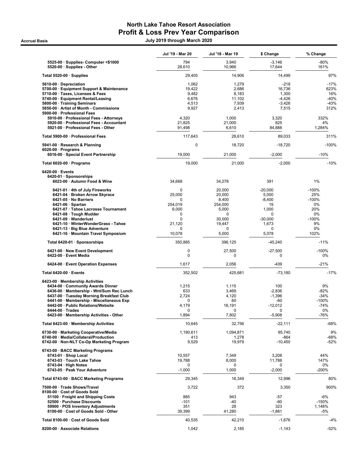### North Lake Tahoe Resort Association Profit & Loss Prev Year Comparison Accrual Basis July 2019 through March 2020

|                                                                                     | Jul '19 - Mar 20 | Jul '18 - Mar 19   | \$ Change             | % Change          |
|-------------------------------------------------------------------------------------|------------------|--------------------|-----------------------|-------------------|
| 5525-00 · Supplies- Computer <\$1000<br>5520-00 · Supplies - Other                  | 794<br>28,610    | 3,940<br>10,966    | $-3,146$<br>17,644    | $-80%$<br>161%    |
| Total 5520-00 $\cdot$ Supplies                                                      | 29,405           | 14,906             | 14,499                | 97%               |
| 5610-00 Depreciation<br>5700-00 · Equipment Support & Maintenance                   | 1,062<br>19,422  | 1,279<br>2,686     | $-218$<br>16,736      | $-17%$<br>623%    |
| 5710-00 · Taxes, Licenses & Fees                                                    | 9,482            | 8,183              | 1,300                 | 16%               |
| 5740-00 · Equipment Rental/Leasing<br>5800-00 · Training Seminars                   | 6,676<br>4,513   | 11,102<br>7,939    | $-4,426$<br>$-3,426$  | $-40%$<br>$-43%$  |
| 5850-00 · Artist of Month - Commissions                                             | 9,927            | 2,413              | 7,515                 | 312%              |
| 5900-00 · Professional Fees                                                         |                  |                    |                       |                   |
| 5910-00 · Professional Fees - Attorneys<br>5920-00 · Professional Fees - Accountant | 4,320<br>21,825  | 1,000<br>21,000    | 3,320<br>825          | 332%<br>4%        |
| 5921-00 · Professional Fees - Other                                                 | 91,498           | 6,610              | 84,888                | 1,284%            |
| Total 5900-00 · Professional Fees                                                   | 117,643          | 28,610             | 89,033                | 311%              |
| 5941-00 · Research & Planning<br>$6020-00 \cdot$ Programs                           | $\mathbf 0$      | 18,720             | $-18,720$             | $-100%$           |
| 6016-00 · Special Event Partnership                                                 | 19,000           | 21,000             | $-2,000$              | $-10%$            |
| Total 6020-00 · Programs                                                            | 19,000           | 21,000             | $-2,000$              | $-10%$            |
| $6420-00 \cdot$ Events<br>6420-01 · Sponsorships                                    |                  |                    |                       |                   |
| 6023-00 · Autumn Food & Wine                                                        | 34,668           | 34,278             | 391                   | 1%                |
| 6421-01 · 4th of July Fireworks                                                     | 0                | 20,000             | $-20,000$             | $-100%$           |
| 6421-04 · Broken Arrow Skyrace<br>6421-05 · No Barriers                             | 25,000<br>0      | 20,000<br>8,400    | 5,000<br>$-8,400$     | 25%<br>$-100%$    |
| $6421-06 \cdot$ Spartan                                                             | 254,019          | 254,000            | 19                    | 0%                |
| 6421-07 · Tahoe Lacrosse Tournament                                                 | 6,000            | 5,000              | 1,000                 | 20%               |
| 6421-08 · Tough Mudder<br>6421-09 · Wanderlust                                      | 0<br>0           | $\Omega$<br>30,000 | $\Omega$<br>$-30,000$ | 0%<br>$-100%$     |
| 6421-10 · WinterWonderGrass - Tahoe                                                 | 21,120           | 19,447             | 1,673                 | 9%                |
| 6421-13 · Big Blue Adventure<br>6421-16 · Mountain Travel Symposium                 | 0<br>10,078      | 0<br>5,000         | $\Omega$<br>5,078     | 0%<br>102%        |
| Total 6420-01 · Sponsorships                                                        | 350,885          | 396,125            | $-45,240$             | $-11%$            |
| 6421-00 · New Event Development                                                     | 0                | 27,500             | $-27,500$             | $-100%$           |
| 6422-00 · Event Media                                                               | $\mathbf 0$      | 0                  | 0                     | 0%                |
| 6424-00 · Event Operation Expenses                                                  | 1,617            | 2,056              | $-439$                | $-21%$            |
| Total 6420-00 · Events                                                              | 352,502          | 425,681            | $-73,180$             | $-17%$            |
| 6423-00 · Membership Activities<br>6434-00 Community Awards Dinner                  | 1,215            | 1,115              | 100                   | 9%                |
| 6436-00 · Membership - Wnt/Sum Rec Lunch                                            | 633              | 3,469              | $-2,836$              | $-82%$            |
| 6437-00 · Tuesday Morning Breakfast Club                                            | 2,724<br>0       | 4,120<br>60        | $-1,396$<br>-60       | $-34%$<br>$-100%$ |
| 6441-00 · Membership - Miscellaneous Exp<br>6442-00 · Public Relations/Website      | 4,179            | 16,191             | $-12,012$             | $-74%$            |
| $6444-00 \cdot Trades$                                                              | 0                | 0                  | 0                     | $0\%$             |
| 6423-00 · Membership Activities - Other                                             | 1,894            | 7,802              | $-5,908$              | -76%              |
| Total 6423-00 · Membership Activities                                               | 10,645           | 32,756             | $-22,111$             | $-68%$            |
| 6730-00 · Marketing Cooperative/Media<br>6740-00 · Media/Collateral/Production      | 1,190,611<br>413 | 1,094,871<br>1,278 | 95,740<br>$-864$      | 9%<br>$-68%$      |
| 6742-00 · Non-NLT Co-Op Marketing Program                                           | 9,529            | 19,979             | $-10,450$             | $-52%$            |
| 6743-00 · BACC Marketing Programs<br>$6743-01 \cdot$ Shop Local                     | 10,557           | 7,349              | 3,208                 | 44%               |
| 6743-03 · Touch Lake Tahoe                                                          | 19,788           | 8,000              | 11,788                | 147%              |
| $6743-04 \cdot$ High Notes                                                          | 0                | 0                  | 0                     | 0%                |
| 6743-05 · Peak Your Adventure                                                       | $-1,000$         | 1,000              | $-2,000$              | -200%             |
| Total 6743-00 · BACC Marketing Programs                                             | 29,345           | 16,349             | 12,996                | 80%               |
| 7500-00 · Trade Shows/Travel<br>8100-00 Cost of Goods Sold                          | 3,722            | 372                | 3,350                 | 900%              |
| 51100 · Freight and Shipping Costs<br>52500 · Purchase Discounts                    | 885<br>-101      | 943<br>-40         | -57<br>-60            | $-6%$<br>$-150%$  |
| 59900 · POS Inventory Adjustments                                                   | 351              | 28                 | 323                   | 1,148%            |
| 8100-00 · Cost of Goods Sold - Other                                                | 39,399           | 41,280             | $-1,881$              | -5%               |
| Total 8100-00 · Cost of Goods Sold                                                  | 40,535           | 42,210             | $-1,676$              | $-4%$             |
| 8200-00 · Associate Relations                                                       | 1,042            | 2,185              | $-1,143$              | $-52%$            |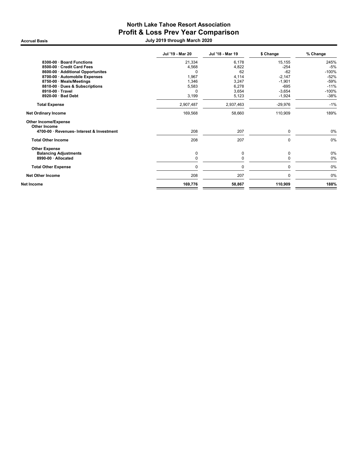### North Lake Tahoe Resort Association Profit & Loss Prev Year Comparison Accrual Basis July 2019 through March 2020

|                                             | Jul '19 - Mar 20 | Jul '18 - Mar 19 | \$ Change | % Change |
|---------------------------------------------|------------------|------------------|-----------|----------|
| 8300-00 · Board Functions                   | 21,334           | 6,178            | 15,155    | 245%     |
| 8500-00 · Credit Card Fees                  | 4,568            | 4,822            | $-254$    | $-5%$    |
| 8600-00 · Additional Opportunites           | 0                | 62               | $-62$     | $-100%$  |
| 8700-00 · Automobile Expenses               | 1,967            | 4,114            | $-2,147$  | $-52%$   |
| 8750-00 · Meals/Meetings                    | 1,346            | 3,247            | $-1,901$  | $-59%$   |
| 8810-00 · Dues & Subscriptions              | 5,583            | 6,278            | $-695$    | $-11%$   |
| 8910-00 · Travel                            | 0                | 3,654            | $-3,654$  | $-100%$  |
| 8920-00 · Bad Debt                          | 3,199            | 5,123            | $-1,924$  | $-38%$   |
| <b>Total Expense</b>                        | 2,907,487        | 2,937,463        | $-29,976$ | $-1%$    |
| <b>Net Ordinary Income</b>                  | 169,568          | 58,660           | 110,909   | 189%     |
| <b>Other Income/Expense</b><br>Other Income |                  |                  |           |          |
| 4700-00 · Revenues- Interest & Investment   | 208              | 207              | 0         | 0%       |
| <b>Total Other Income</b>                   | 208              | 207              | 0         | 0%       |
| <b>Other Expense</b>                        |                  |                  |           |          |
| <b>Balancing Adjustments</b>                | 0                | 0                | 0         | 0%       |
| 8990-00 · Allocated                         | 0                | 0                | $\Omega$  | 0%       |
| <b>Total Other Expense</b>                  | 0                | 0                | 0         | 0%       |
| <b>Net Other Income</b>                     | 208              | 207              | 0         | 0%       |
| Net Income                                  | 169,776          | 58,867           | 110,909   | 188%     |
|                                             |                  |                  |           |          |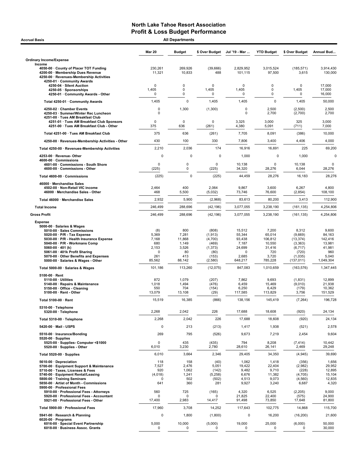| <b>Accrual Basis</b>                                                                                                                                                                                                                                                                                                                     | <b>All Departments</b>                                      |                                                                 |                                                                               |                                                                               |                                                                           |                                                                                         |                                                                             |
|------------------------------------------------------------------------------------------------------------------------------------------------------------------------------------------------------------------------------------------------------------------------------------------------------------------------------------------|-------------------------------------------------------------|-----------------------------------------------------------------|-------------------------------------------------------------------------------|-------------------------------------------------------------------------------|---------------------------------------------------------------------------|-----------------------------------------------------------------------------------------|-----------------------------------------------------------------------------|
|                                                                                                                                                                                                                                                                                                                                          | <b>Mar 20</b>                                               | <b>Budget</b>                                                   | \$ Over Budget                                                                | Jul '19 - Mar                                                                 | <b>YTD Budget</b>                                                         | \$ Over Budget                                                                          | Annual Bud                                                                  |
| <b>Ordinary Income/Expense</b>                                                                                                                                                                                                                                                                                                           |                                                             |                                                                 |                                                                               |                                                                               |                                                                           |                                                                                         |                                                                             |
| Income<br>4050-00 County of Placer TOT Funding<br>4200-00 · Membership Dues Revenue<br>4250-00 · Revenues-Membership Activities<br>4250-01 · Community Awards                                                                                                                                                                            | 230,261<br>11,321                                           | 269,926<br>10,833                                               | (39,666)<br>488                                                               | 2.829.952<br>101,115                                                          | 3,015,524<br>97,500                                                       | (185, 571)<br>3,615                                                                     | 3,914,430<br>130,000                                                        |
| 4250-04 · Silent Auction<br>4250-05 · Sponsorships<br>4250-01 · Community Awards - Other                                                                                                                                                                                                                                                 | $\mathbf 0$<br>1,405<br>$\mathbf 0$                         | 0<br>0<br>0                                                     | $\mathbf 0$<br>1,405<br>$\mathbf 0$                                           | 0<br>1,405<br>0                                                               | 0<br>0<br>0                                                               | $\mathbf 0$<br>1,405<br>$\Omega$                                                        | 17,000<br>17,000<br>16,000                                                  |
| Total 4250-01 · Community Awards                                                                                                                                                                                                                                                                                                         | 1,405                                                       | $\pmb{0}$                                                       | 1,405                                                                         | 1,405                                                                         | $\mathbf 0$                                                               | 1,405                                                                                   | 50,000                                                                      |
| 4250-02 · Chamber Events<br>4250-03 · Summer/Winter Rec Luncheon<br>4251-00 · Tues AM Breakfast Club                                                                                                                                                                                                                                     | 0<br>0                                                      | 1,300                                                           | (1,300)                                                                       | 0<br>0                                                                        | 2,500<br>2,700                                                            | (2,500)<br>(2,700)                                                                      | 2,500<br>2,700                                                              |
| 4251-01 · Tues AM Breakfast Club Sponsors<br>4251-00 · Tues AM Breakfast Club - Other                                                                                                                                                                                                                                                    | $\mathbf 0$<br>375                                          | $\Omega$<br>636                                                 | 0<br>(261)                                                                    | 3,325<br>4,380                                                                | 3,000<br>5,091                                                            | 325<br>(711)                                                                            | 3,000<br>7,000                                                              |
| Total 4251-00 · Tues AM Breakfast Club                                                                                                                                                                                                                                                                                                   | 375                                                         | 636                                                             | (261)                                                                         | 7,705                                                                         | 8,091                                                                     | (386)                                                                                   | 10,000                                                                      |
| 4250-00 · Revenues-Membership Activities - Other                                                                                                                                                                                                                                                                                         | 430                                                         | 100                                                             | 330                                                                           | 7,806                                                                         | 3,400                                                                     | 4,406                                                                                   | 4,000                                                                       |
| Total 4250-00 · Revenues-Membership Activities                                                                                                                                                                                                                                                                                           | 2,210                                                       | 2,036                                                           | 174                                                                           | 16,916                                                                        | 16,691                                                                    | 225                                                                                     | 69,200                                                                      |
| 4253-00 · Revenue-Other<br>4600-00 Commissions<br>4601-00 Commissions - South Shore                                                                                                                                                                                                                                                      | 0<br>0                                                      | 0<br>$\mathbf 0$                                                | 0<br>0                                                                        | 1,000<br>10,138                                                               | 0<br>$\mathbf 0$                                                          | 1,000<br>10,138                                                                         | $\mathbf 0$<br>$\mathbf 0$                                                  |
| 4600-00 · Commissions - Other                                                                                                                                                                                                                                                                                                            | (225)                                                       | $\mathbf 0$                                                     | (225)                                                                         | 34,320                                                                        | 28,276                                                                    | 6,044                                                                                   | 28,276                                                                      |
| Total 4600-00 · Commissions                                                                                                                                                                                                                                                                                                              | (225)                                                       | $\mathbf 0$                                                     | (225)                                                                         | 44,459                                                                        | 28,276                                                                    | 16,183                                                                                  | 28,276                                                                      |
| 46000 · Merchandise Sales<br>4502-00 · Non-Retail VIC income<br>46000 · Merchandise Sales - Other                                                                                                                                                                                                                                        | 2,464<br>468                                                | 400<br>5,500                                                    | 2,064<br>(5,032)                                                              | 9,867<br>73,746                                                               | 3,600<br>76,600                                                           | 6,267<br>(2, 854)                                                                       | 4,800<br>108,100                                                            |
| Total 46000 · Merchandise Sales                                                                                                                                                                                                                                                                                                          | 2,932                                                       | 5,900                                                           | (2,968)                                                                       | 83,613                                                                        | 80,200                                                                    | 3,413                                                                                   | 112,900                                                                     |
| <b>Total Income</b>                                                                                                                                                                                                                                                                                                                      | 246,499                                                     | 288,696                                                         | (42, 196)                                                                     | 3,077,055                                                                     | 3,238,190                                                                 | (161, 135)                                                                              | 4,254,806                                                                   |
| <b>Gross Profit</b>                                                                                                                                                                                                                                                                                                                      | 246,499                                                     | 288,696                                                         | (42, 196)                                                                     | 3,077,055                                                                     | 3,238,190                                                                 | (161, 135)                                                                              | 4,254,806                                                                   |
| <b>Expense</b><br>5000-00 · Salaries & Wages<br>5010-00 · Sales Commissions<br>5020-00 $\cdot$ P/R - Tax Expense<br>5030-00 · P/R - Health Insurance Expense<br>5040-00 · P/R - Workmans Comp<br>5060-00 $\cdot$ 401 (k)<br>5061-00 · 401k Profit Sharing<br>5070-00 · Other Benefits and Expenses<br>5000-00 · Salaries & Wages - Other | (8)<br>5,369<br>7,168<br>680<br>2,153<br>0<br>261<br>85,562 | 800<br>7,281<br>11,868<br>1,149<br>3,526<br>80<br>413<br>88,142 | (808)<br>(1, 913)<br>(4,700)<br>(469)<br>(1, 373)<br>(80)<br>(153)<br>(2,580) | 15,512<br>55,344<br>93,438<br>7,187<br>24,699<br>$\Omega$<br>2,685<br>648,217 | 7,200<br>65,014<br>106,812<br>10,550<br>31,416<br>720<br>3,720<br>785,228 | 8,312<br>(9,669)<br>(13, 374)<br>(3, 363)<br>(6, 717)<br>(720)<br>(1,035)<br>(137, 011) | 9,600<br>84,163<br>142,416<br>13,981<br>41,981<br>960<br>5,040<br>1,049,304 |
| Total 5000-00 · Salaries & Wages                                                                                                                                                                                                                                                                                                         | 101,186                                                     | 113,260                                                         | (12,075)                                                                      | 847,083                                                                       | 1,010,659                                                                 | (163, 576)                                                                              | 1,347,445                                                                   |
| $5100-00 \cdot$ Rent<br>$5110-00 \cdot$ Utilities<br>5140-00 · Repairs & Maintenance<br>5150-00 · Office - Cleaning<br>5100-00 · Rent - Other                                                                                                                                                                                            | 872<br>1,018<br>550<br>13,079                               | 1,079<br>1,494<br>704<br>13,108                                 | (207)<br>(476)<br>(154)<br>(29)                                               | 7,862<br>6,459<br>6,250<br>117,585                                            | 9,693<br>15,469<br>6,429<br>113,829                                       | (1,831)<br>(9,010)<br>(179)<br>3,756                                                    | 12,899<br>21,938<br>10,362<br>151,529                                       |
| Total 5100-00 · Rent                                                                                                                                                                                                                                                                                                                     | 15,519                                                      | 16,385                                                          | (866)                                                                         | 138,156                                                                       | 145,419                                                                   | (7, 264)                                                                                | 196,728                                                                     |
| 5310-00 · Telephone<br>5320-00 · Telephone                                                                                                                                                                                                                                                                                               | 2,268                                                       | 2,042                                                           | 226                                                                           | 17,688                                                                        | 18,608                                                                    | (920)                                                                                   | 24,134                                                                      |
| Total 5310-00 · Telephone                                                                                                                                                                                                                                                                                                                | 2,268                                                       | 2,042                                                           | 226                                                                           | 17,688                                                                        | 18,608                                                                    | (920)                                                                                   | 24,134                                                                      |
| 5420-00 · Mail - USPS<br>5510-00 · Insurance/Bonding                                                                                                                                                                                                                                                                                     | 0<br>269                                                    | 213<br>795                                                      | (213)<br>(526)                                                                | 1,417<br>9,673                                                                | 1,938<br>7,219                                                            | (521)<br>2,454                                                                          | 2,578<br>9,604                                                              |
| $5520-00 \cdot$ Supplies<br>5525-00 · Supplies- Computer <\$1000<br>5520-00 · Supplies - Other                                                                                                                                                                                                                                           | 0<br>6,010                                                  | 435<br>3,230                                                    | (435)<br>2,780                                                                | 794<br>28,610                                                                 | 8,208<br>26,141                                                           | (7, 414)<br>2,469                                                                       | 10,442<br>29,248                                                            |
| Total 5520-00 · Supplies                                                                                                                                                                                                                                                                                                                 | 6,010                                                       | 3,664                                                           | 2,346                                                                         | 29,405                                                                        | 34,350                                                                    | (4, 945)                                                                                | 39,690                                                                      |
| 5610-00 · Depreciation<br>5700-00 · Equipment Support & Maintenance<br>5710-00 · Taxes, Licenses & Fees<br>5740-00 · Equipment Rental/Leasing<br>5800-00 · Training Seminars<br>5850-00 · Artist of Month - Commissions<br>5900-00 · Professional Fees                                                                                   | 118<br>7,527<br>920<br>(4,018)<br><sup>0</sup><br>641       | 158<br>2,476<br>1,062<br>1,241<br>502<br>360                    | (40)<br>5,051<br>(142)<br>(5,258)<br>(502)<br>281                             | 1,062<br>19,422<br>9,482<br>6,676<br>4,513<br>9,927                           | 1,418<br>22,404<br>9,710<br>11,382<br>9,073<br>3,240                      | (356)<br>(2,982)<br>(228)<br>(4,705)<br>(4, 560)<br>6,687                               | 1,656<br>29,952<br>12,895<br>15,104<br>12,835<br>4,320                      |
| 5910-00 · Professional Fees - Attorneys<br>5920-00 · Professional Fees - Accountant                                                                                                                                                                                                                                                      | 560<br>0                                                    | 725<br>$\mathbf 0$                                              | (165)<br>0                                                                    | 4,320<br>21,825                                                               | 6,525<br>22,400                                                           | (2, 205)<br>(575)                                                                       | 9,000<br>24,900                                                             |
| 5921-00 · Professional Fees - Other                                                                                                                                                                                                                                                                                                      | 17,400                                                      | 2,983                                                           | 14,417                                                                        | 91,498                                                                        | 73,850                                                                    | 17,648                                                                                  | 81,800                                                                      |
| Total 5900-00 · Professional Fees                                                                                                                                                                                                                                                                                                        | 17,960                                                      | 3,708                                                           | 14,252                                                                        | 117,643                                                                       | 102,775                                                                   | 14,868                                                                                  | 115,700                                                                     |
| 5941-00 · Research & Planning<br>$6020-00 \cdot$ Programs<br>6016-00 · Special Event Partnership                                                                                                                                                                                                                                         | 0                                                           | 1,800                                                           | (1,800)                                                                       | 0<br>19,000                                                                   | 16,200                                                                    | (16, 200)                                                                               | 21,600                                                                      |
| 6018-00 · Business Assoc. Grants                                                                                                                                                                                                                                                                                                         | 5,000<br>0                                                  | 10,000<br>0                                                     | (5,000)<br>0                                                                  | 0                                                                             | 25,000<br>0                                                               | (6,000)                                                                                 | 50,000<br>30,000                                                            |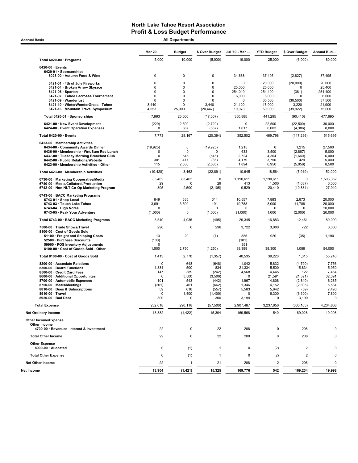| <b>Accrual Basis</b>                                                               |                          | <b>All Departments</b> |                            |                    |                         |                      |                  |  |
|------------------------------------------------------------------------------------|--------------------------|------------------------|----------------------------|--------------------|-------------------------|----------------------|------------------|--|
|                                                                                    | <b>Mar 20</b>            | <b>Budget</b>          | \$ Over Budget             | Jul '19 - Mar      | <b>YTD Budget</b>       | \$ Over Budget       | Annual Bud       |  |
| Total 6020-00 · Programs                                                           | 5,000                    | 10,000                 | (5,000)                    | 19,000             | 25,000                  | (6,000)              | 80,000           |  |
| $6420-00 \cdot$ Events<br>6420-01 · Sponsorships<br>6023-00 · Autumn Food & Wine   | 0                        | 0                      | $\mathbf 0$                | 34,668             | 37,495                  | (2,827)              | 37,495           |  |
| 6421-01 · 4th of July Fireworks<br>6421-04 · Broken Arrow Skyrace                  | 0<br>0                   | 0<br>0                 | 0<br>$\mathbf 0$           | $\Omega$<br>25,000 | 20,000<br>25,000        | (20,000)<br>$\Omega$ | 20,000<br>25,400 |  |
| $6421-06 \cdot$ Spartan                                                            | $\Omega$                 | 0                      | $\mathbf 0$                | 254,019            | 254,400                 | (381)                | 254,400          |  |
| 6421-07 · Tahoe Lacrosse Tournament<br>6421-09 · Wanderlust                        | 0<br>O                   | 0<br>0                 | $\mathbf 0$<br>$\mathbf 0$ | 6,000<br>$\Omega$  | 6,000<br>30,500         | O<br>(30, 500)       | 6,000<br>37,500  |  |
| 6421-10 · WinterWonderGrass - Tahoe                                                | 3,440                    | 0                      | 3,440                      | 21,120             | 17,900                  | 3,220                | 21,900           |  |
| 6421-16 · Mountain Travel Symposium                                                | 4,553                    | 25.000                 | (20, 447)                  | 10,078             | 50,000                  | (39,922)             | 75,000           |  |
| Total 6420-01 · Sponsorships                                                       | 7,993                    | 25,000                 | (17,007)                   | 350,885            | 441,295                 | (90, 410)            | 477,695          |  |
| 6421-00 · New Event Development<br>6424-00 · Event Operation Expenses              | (220)<br>0               | 2,500<br>667           | (2,720)<br>(667)           | 0<br>1,617         | 22,500<br>6,003         | (22, 500)<br>(4,386) | 30,000<br>8,000  |  |
| Total 6420-00 · Events                                                             | 7,773                    | 28,167                 | (20, 394)                  | 352,502            | 469,798                 | (117, 296)           | 515,695          |  |
| 6423-00 · Membership Activities                                                    |                          |                        |                            |                    |                         |                      |                  |  |
| 6434-00 · Community Awards Dinner<br>6436-00 · Membership - Wnt/Sum Rec Lunch      | (19, 925)<br>$\mathbf 0$ | 0<br>$\mathbf 0$       | (19, 925)<br>O             | 1,215<br>633       | 0<br>3,500              | 1,215<br>(2,867)     | 27,500<br>5,000  |  |
| 6437-00 · Tuesday Morning Breakfast Club                                           | 0                        | 545                    | (545)                      | 2,724              | 4,364                   | (1,640)              | 6,000            |  |
| 6442-00 · Public Relations/Website<br>6423-00 · Membership Activities - Other      | 381<br>115               | 417<br>2,500           | (36)<br>(2, 385)           | 4,179<br>1,894     | 3,750<br>6,950          | 429<br>(5,056)       | 5,000<br>8,500   |  |
| Total 6423-00 · Membership Activities                                              | (19, 428)                | 3,462                  | (22, 891)                  | 10,645             | 18,564                  | (7, 919)             | 52,000           |  |
| 6730-00 · Marketing Cooperative/Media                                              | 83,462                   | 83,462                 | 0                          | 1,190,611          | 1,190,611               | $\mathbf 0$          | 1,503,362        |  |
| 6740-00 · Media/Collateral/Production<br>6742-00 · Non-NLT Co-Op Marketing Program | 29<br>395                | 0<br>2,500             | 29<br>(2, 105)             | 413<br>9,529       | 1,500<br>20,410         | (1,087)<br>(10, 881) | 3,000<br>27,910  |  |
| 6743-00 · BACC Marketing Programs                                                  |                          |                        |                            |                    |                         |                      |                  |  |
| 6743-01 · Shop Local<br>6743 03 · Touch Lake Tahoe                                 | 849<br>3,691             | 535<br>3,500           | 314<br>191                 | 10,557<br>19,788   | 7,883<br>8,000          | 2,673<br>11,788      | 20,000<br>20,000 |  |
| $6743-04 \cdot$ High Notes                                                         | $\mathbf 0$              | 0                      | O                          | 0                  | 0                       | 0                    | 20,000           |  |
| 6743-05 · Peak Your Adventure                                                      | (1,000)                  | 0                      | (1,000)                    | (1,000)            | 1,000                   | (2,000)              | 20,000           |  |
| Total 6743-00 · BACC Marketing Programs                                            | 3,540                    | 4,035                  | (495)                      | 29,345             | 16,883                  | 12,461               | 80,000           |  |
| 7500-00 · Trade Shows/Travel<br>8100-00 · Cost of Goods Sold                       | 296                      | 0                      | 296                        | 3,722              | 3,000                   | 722                  | 3,000            |  |
| 51100 · Freight and Shipping Costs<br>52500 · Purchase Discounts                   | 13<br>(100)              | 20                     | (7)                        | 885<br>(101)       | 920                     | (35)                 | 1,190            |  |
| 59900 · POS Inventory Adjustments<br>8100-00 · Cost of Goods Sold - Other          | $\Omega$<br>1,500        | 2,750                  | (1,250)                    | 351<br>39,399      | 38,300                  | 1,099                | 54,050           |  |
| Total 8100-00 · Cost of Goods Sold                                                 | 1,413                    | 2,770                  | (1, 357)                   | 40,535             | 39,220                  | 1,315                | 55,240           |  |
| 8200-00 · Associate Relations                                                      | $\mathbf 0$              | 648                    | (648)                      | 1,042              | 5,832                   | (4,790)              | 7,756            |  |
| 8300-00 · Board Functions                                                          | 1,334                    | 500                    | 834                        | 21,334             | 5,500                   | 15,834               | 5,950            |  |
| 8500-00 · Credit Card Fees<br>8600-00 · Additional Opportunites                    | 147<br>0                 | 389<br>3,500           | (242)<br>(3,500)           | 4,568<br>$\Omega$  | 4,445<br>21,591         | 122<br>(21, 591)     | 7,454<br>32,091  |  |
| 8700-00 · Automobile Expenses                                                      | 101                      | 543                    | (442)                      | 1,967              | 4,808                   | (2,840)              | 6,285            |  |
| 8750-00 · Meals/Meetings                                                           | (201)<br>59              | 461<br>616             | (662)                      | 1,346<br>5,583     | 4,152                   | (2,805)              | 5,534<br>7,490   |  |
| 8810-00 · Dues & Subscriptions<br>8910-00 · Travel                                 | $\Omega$                 | 1,400                  | (557)<br>(1,400)           | $\Omega$           | 5,642<br>6,300          | (59)<br>(6,300)      | 7,800            |  |
| 8920-00 · Bad Debt                                                                 | 300                      | O                      | 300                        | 3,199              |                         | 3,199                | $\Omega$         |  |
| <b>Total Expense</b>                                                               | 232,618                  | 290,118                | (57, 500)                  | 2,907,487          | 3,237,650               | (330, 163)           | 4,234,808        |  |
| <b>Net Ordinary Income</b>                                                         | 13,882                   | (1, 422)               | 15,304                     | 169,568            | 540                     | 169,028              | 19,998           |  |
| Other Income/Expense                                                               |                          |                        |                            |                    |                         |                      |                  |  |
| Other Income<br>4700-00 · Revenues- Interest & Investment                          | 22                       | $\pmb{0}$              | 22                         | 208                | 0                       | 208                  | 0                |  |
| <b>Total Other Income</b>                                                          | 22                       | $\pmb{0}$              | 22                         | 208                | $\mathbf 0$             | 208                  | $\pmb{0}$        |  |
| <b>Other Expense</b><br>8990-00 · Allocated                                        | 0                        | (1)                    | 1                          | 0                  | (2)                     | $\overline{c}$       | $\pmb{0}$        |  |
| <b>Total Other Expense</b>                                                         | $\mathsf 0$              | (1)                    | $\mathbf{1}$               | $\mathbf 0$        | (2)                     | $\sqrt{2}$           | $\mathbf 0$      |  |
| <b>Net Other Income</b>                                                            | 22                       | $\mathbf{1}$           | 21                         | 208                | $\overline{\mathbf{c}}$ | 206                  | 0                |  |
| Net Income                                                                         | 13,904                   | (1, 421)               | 15,325                     | 169,776            | 542                     | 169,234              | 19,998           |  |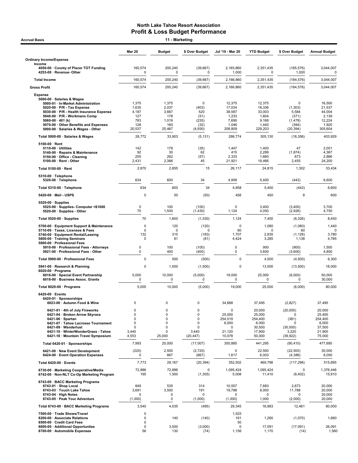| <b>Accrual Basis</b>                                                                                          |                            | 11 - Marketing   |                        |                            |                     |                        |                      |
|---------------------------------------------------------------------------------------------------------------|----------------------------|------------------|------------------------|----------------------------|---------------------|------------------------|----------------------|
|                                                                                                               | <b>Mar 20</b>              | <b>Budget</b>    | \$ Over Budget         | Jul '19 - Mar 20           | <b>YTD Budget</b>   | \$ Over Budget         | <b>Annual Budget</b> |
| <b>Ordinary Income/Expense</b>                                                                                |                            |                  |                        |                            |                     |                        |                      |
| Income<br>4050-00 County of Placer TOT Funding<br>4253-00 · Revenue-Other                                     | 160,574<br>0               | 200,240<br>0     | (39, 667)<br>0         | 2,165,860<br>1,000         | 2.351.435<br>0      | (185, 576)<br>1,000    | 3,044,007            |
| <b>Total Income</b>                                                                                           | 160,574                    | 200,240          | (39, 667)              | 2,166,860                  | 2,351,435           | (184, 576)             | 3,044,007            |
| <b>Gross Profit</b>                                                                                           | 160,574                    | 200,240          | (39, 667)              | 2,166,860                  | 2,351,435           | (184, 576)             | 3,044,007            |
| <b>Expense</b><br>5000-00 · Salaries & Wages<br>5000-01 · In-Market Administration                            | 1,375                      | 1,375            | 0                      | 12,375                     | 12,375              | 0                      | 16,500               |
| $5020-00 \cdot P/R$ - Tax Expense<br>5030-00 · P/R - Health Insurance Expense                                 | 1,635<br>4,187             | 2,037<br>3,667   | (403)<br>520           | 17,034<br>38,587           | 18,336<br>33,003    | (1, 303)<br>5,584      | 21,537<br>44,004     |
| 5040-00 · P/R - Workmans Comp                                                                                 | 127                        | 178              | (51)                   | 1,233                      | 1,604               | (371)                  | 2,139                |
| 5060-00 $\cdot$ 401 (k)<br>5070-00 Other Benefits and Expenses                                                | 783<br>128                 | 1,019<br>160     | (235)<br>(32)          | 7,690<br>1,046             | 9,168<br>1,440      | (1, 478)<br>(394)      | 12,224<br>1,920      |
| 5000-00 · Salaries & Wages - Other                                                                            | 20,537                     | 25,467           | (4,930)                | 208,809                    | 229,203             | (20, 394)              | 305,604              |
| Total 5000-00 · Salaries & Wages                                                                              | 28,772                     | 33,903           | (5, 131)               | 286,774                    | 305,130             | (18, 356)              | 403,929              |
| 5100-00 · Rent<br>5110-00 · Utilities                                                                         | 142                        | 178              | (35)                   | 1,447                      | 1,400               | 47                     | 2,001                |
| 5140-00 · Repairs & Maintenance<br>5150-00 · Office - Cleaning                                                | 92<br>205                  | 30<br>262        | 62<br>(57)             | 415<br>2,333               | 2,289<br>1,660      | (1, 874)<br>673        | 4,367<br>2,866       |
| $5100-00 \cdot$ Rent - Other                                                                                  | 2,431                      | 2,386            | 45                     | 21,921                     | 19,466              | 2,455                  | 24,200               |
| Total 5100-00 · Rent                                                                                          | 2,870                      | 2,855            | 15                     | 26,117                     | 24,815              | 1,302                  | 33,434               |
| 5310-00 · Telephone<br>5320-00 · Telephone                                                                    | 634                        | 600              | 34                     | 4,958                      | 5,400               | (442)                  | 6,600                |
| Total 5310-00 · Telephone                                                                                     | 634                        | 600              | 34                     | 4,958                      | 5,400               | (442)                  | 6,600                |
| 5420-00 Mail - USPS                                                                                           | 0                          | 50               | (50)                   | 458                        | 450                 | 8                      | 600                  |
| $5520-00 \cdot$ Supplies<br>5525-00 · Supplies- Computer <\$1000<br>5520-00 · Supplies - Other                | 0<br>70                    | 100<br>1,500     | (100)<br>(1,430)       | $\mathbf 0$<br>1,124       | 3,400<br>4,050      | (3,400)<br>(2,926)     | 3,700<br>4,750       |
| Total 5520-00 · Supplies                                                                                      | 70                         | 1,600            | (1,530)                | 1,124                      | 7,450               | (6, 326)               | 8,450                |
| 5700-00 · Equipment Support & Maintenance                                                                     | 0                          | 120              | (120)                  | $\mathbf 0$                | 1,080               | (1,080)                | 1,440                |
| 5710-00 · Taxes, Licenses & Fees<br>5740-00 · Equipment Rental/Leasing                                        | 0<br>132                   | 0<br>315         | 0<br>(183)             | 60<br>1,707                | 0<br>2,835          | 60<br>(1, 128)         | 3,780                |
| 5800-00 · Training Seminars                                                                                   | 0                          | 81               | (81)                   | 4,424                      | 3,285               | 1,138                  | 4,785                |
| 5900-00 · Professional Fees<br>5910-00 · Professional Fees - Attorneys<br>5921-00 · Professional Fees - Other | 0<br>0                     | 100<br>400       | (100)<br>(400)         | $\mathsf 0$<br>0           | 900<br>3,600        | (900)<br>(3,600)       | 1,500<br>4,800       |
| Total 5900-00 · Professional Fees                                                                             | 0                          | 500              | (500)                  | $\mathbf 0$                | 4,500               | (4,500)                | 6,300                |
| 5941-00 · Research & Planning                                                                                 | 0                          | 1,500            | (1,500)                | 0                          | 13,500              | (13,500)               | 18,000               |
| $6020-00 \cdot$ Programs<br>6016-00 · Special Event Partnership<br>6018-00 · Business Assoc. Grants           | 5,000<br>0                 | 10,000<br>0      | (5,000)<br>0           | 19,000<br>0                | 25,000<br>0         | (6,000)<br>0           | 50,000<br>30,000     |
| Total 6020-00 · Programs                                                                                      | 5,000                      | 10,000           | (5,000)                | 19,000                     | 25,000              | (6,000)                | 80,000               |
| $6420-00$ · Events                                                                                            |                            |                  |                        |                            |                     |                        |                      |
| 6420-01 · Sponsorships<br>6023-00 · Autumn Food & Wine                                                        | $\mathbf 0$                | $\mathbf 0$      | 0                      | 34,668                     | 37,495              | (2,827)                | 37,495               |
| 6421-01 · 4th of July Fireworks                                                                               | 0                          | 0                | 0                      | 0                          | 20,000              | (20,000)               | 20,000               |
| 6421-04 · Broken Arrow Skyrace<br>$6421-06 \cdot$ Spartan                                                     | $\mathbf 0$<br>$\mathbf 0$ | $\mathbf 0$<br>0 | 0<br>0                 | 25,000<br>254,019          | 25,000<br>254,400   | $\Omega$<br>(381)      | 25,400<br>254,400    |
| 6421-07 · Tahoe Lacrosse Tournament                                                                           | $\mathbf 0$                | $\mathbf 0$      | 0                      | 6,000                      | 6,000               |                        | 6,000                |
| 6421-09 · Wanderlust<br>6421-10 · WinterWonderGrass - Tahoe                                                   | 0<br>3,440                 | $\mathbf 0$<br>0 | 0<br>3,440             | 0<br>21,120                | 30,500<br>17,900    | (30, 500)<br>3,220     | 37,500<br>21,900     |
| 6421-16 · Mountain Travel Symposium                                                                           | 4,553                      | 25,000           | (20, 447)              | 10,078                     | 50,000              | (39, 922)              | 75,000               |
| Total 6420-01 · Sponsorships                                                                                  | 7,993                      | 25,000           | (17,007)               | 350,885                    | 441,295             | (90, 410)              | 477,695              |
| 6421-00 · New Event Development<br>6424-00 · Event Operation Expenses                                         | (220)<br>0                 | 2,500<br>667     | (2,720)<br>(667)       | 0<br>1,617                 | 22,500<br>6,003     | (22, 500)<br>(4, 386)  | 30,000<br>8,000      |
| Total 6420-00 · Events                                                                                        | 7,773                      | 28,167           | (20, 394)              | 352,502                    | 469,798             | (117, 296)             | 515,695              |
| 6730-00 · Marketing Cooperative/Media<br>6742-00 · Non-NLT Co-Op Marketing Program                            | 72,886<br>195              | 72,886<br>1,500  | $\mathbf 0$<br>(1,305) | 1,095,424<br>5,008         | 1,095,424<br>11,410 | 0<br>(6, 402)          | 1,376,446<br>15,910  |
| 6743-00 · BACC Marketing Programs                                                                             |                            |                  |                        |                            |                     |                        |                      |
| 6743-01 · Shop Local<br>6743-03 · Touch Lake Tahoe                                                            | 849<br>3,691               | 535<br>3,500     | 314<br>191             | 10,557<br>19,788           | 7,883<br>8,000      | 2,673<br>11,788        | 20,000<br>20,000     |
| $6743-04 \cdot$ High Notes<br>6743-05 · Peak Your Adventure                                                   | 0<br>(1,000)               | 0<br>0           | 0<br>(1,000)           | 0<br>(1,000)               | 0<br>1,000          | $\mathbf 0$<br>(2,000) | 20,000<br>20,000     |
| Total 6743-00 · BACC Marketing Programs                                                                       | 3,540                      | 4,035            | (495)                  | 29,345                     | 16,883              | 12,461                 | 80,000               |
| 7500-00 · Trade Shows/Travel<br>8200-00 · Associate Relations                                                 | 0<br>0                     | 140              | (140)                  | 1,525<br>191               | 1,260               | (1,070)                | 1,660                |
| 8500-00 · Credit Card Fees<br>8600-00 · Additional Opportunites<br>8700-00 · Automobile Expenses              | 0<br>0<br>56               | 3,000<br>130     | (3,000)<br>(74)        | 50<br>$\mathbf 0$<br>1,156 | 17,091<br>1,170     | (17,091)<br>(14)       | 26,091<br>1,560      |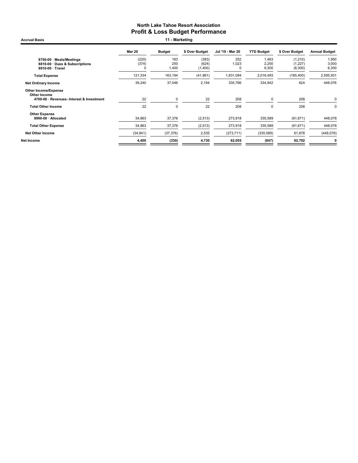Accrual Basis **11 - Marketing** 

|                                                                                          | <b>Mar 20</b>       | <b>Budget</b>       | \$ Over Budget            | Jul '19 - Mar 20 | <b>YTD Budget</b>       | \$ Over Budget                 | <b>Annual Budget</b>    |
|------------------------------------------------------------------------------------------|---------------------|---------------------|---------------------------|------------------|-------------------------|--------------------------------|-------------------------|
| 8750-00 · Meals/Meetings<br>8810-00 Dues & Subscriptions<br>8910-00 · Travel             | (220)<br>(374)<br>C | 163<br>250<br>1,400 | (383)<br>(624)<br>(1,400) | 252<br>1,023     | 1,463<br>2,250<br>6,300 | (1, 210)<br>(1,227)<br>(6,300) | 1,950<br>3,000<br>6,300 |
| <b>Total Expense</b>                                                                     | 121,334             | 163,194             | (41, 861)                 | 1,831,094        | 2,016,493               | (185, 400)                     | 2,595,931               |
| <b>Net Ordinary Income</b>                                                               | 39,240              | 37,046              | 2,194                     | 335,766          | 334,942                 | 824                            | 448,076                 |
| <b>Other Income/Expense</b><br>Other Income<br>4700-00 · Revenues- Interest & Investment | 22                  | $\Omega$            | 22                        | 208              | 0                       | 208                            | 0                       |
| <b>Total Other Income</b>                                                                | 22                  | 0                   | 22                        | 208              | 0                       | 208                            | 0                       |
| <b>Other Expense</b><br>$8990-00 \cdot$ Allocated                                        | 34,863              | 37,376              | (2, 513)                  | 273,918          | 335,589                 | (61, 671)                      | 448,076                 |
| <b>Total Other Expense</b>                                                               | 34,863              | 37,376              | (2, 513)                  | 273,918          | 335,589                 | (61, 671)                      | 448,076                 |
| <b>Net Other Income</b>                                                                  | (34, 841)           | (37, 376)           | 2,535                     | (273, 711)       | (335, 589)              | 61,878                         | (448, 076)              |
| Net Income                                                                               | 4,400               | (330)               | 4,730                     | 62,055           | (647)                   | 62,702                         | 0                       |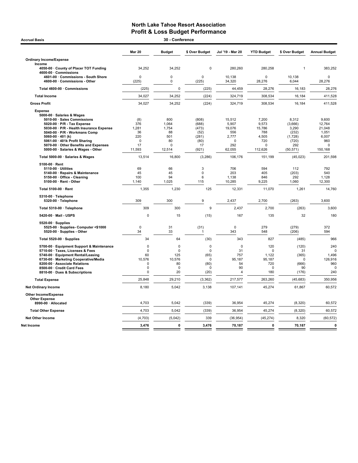| <b>Accrual Basis</b>                                                                                                                                                                                                                                                                                                                                                                                                                                                                                                                                                                                         |                                                                                                                              | 30 - Conference                                                                                                               |                                                                                                                            |                                                                                                                                                |                                                                                                                                             |                                                                                                                                                    |                                                                                                                                            |
|--------------------------------------------------------------------------------------------------------------------------------------------------------------------------------------------------------------------------------------------------------------------------------------------------------------------------------------------------------------------------------------------------------------------------------------------------------------------------------------------------------------------------------------------------------------------------------------------------------------|------------------------------------------------------------------------------------------------------------------------------|-------------------------------------------------------------------------------------------------------------------------------|----------------------------------------------------------------------------------------------------------------------------|------------------------------------------------------------------------------------------------------------------------------------------------|---------------------------------------------------------------------------------------------------------------------------------------------|----------------------------------------------------------------------------------------------------------------------------------------------------|--------------------------------------------------------------------------------------------------------------------------------------------|
|                                                                                                                                                                                                                                                                                                                                                                                                                                                                                                                                                                                                              | <b>Mar 20</b>                                                                                                                | <b>Budget</b>                                                                                                                 | \$ Over Budget                                                                                                             | Jul '19 - Mar 20                                                                                                                               | <b>YTD Budget</b>                                                                                                                           | \$ Over Budget                                                                                                                                     | <b>Annual Budget</b>                                                                                                                       |
| <b>Ordinary Income/Expense</b>                                                                                                                                                                                                                                                                                                                                                                                                                                                                                                                                                                               |                                                                                                                              |                                                                                                                               |                                                                                                                            |                                                                                                                                                |                                                                                                                                             |                                                                                                                                                    |                                                                                                                                            |
| Income<br>4050-00 · County of Placer TOT Funding<br>4600-00 Commissions                                                                                                                                                                                                                                                                                                                                                                                                                                                                                                                                      | 34,252                                                                                                                       | 34,252                                                                                                                        | $\pmb{0}$                                                                                                                  | 280,260                                                                                                                                        | 280,258                                                                                                                                     | $\mathbf{1}$                                                                                                                                       | 383,252                                                                                                                                    |
| 4601-00 Commissions - South Shore<br>4600-00 Commissions - Other                                                                                                                                                                                                                                                                                                                                                                                                                                                                                                                                             | 0<br>(225)                                                                                                                   | $\mathbf 0$<br>$\mathbf 0$                                                                                                    | $\mathbf 0$<br>(225)                                                                                                       | 10.138<br>34,320                                                                                                                               | $\Omega$<br>28,276                                                                                                                          | 10,138<br>6,044                                                                                                                                    | $\mathbf 0$<br>28,276                                                                                                                      |
| Total 4600-00 · Commissions                                                                                                                                                                                                                                                                                                                                                                                                                                                                                                                                                                                  | (225)                                                                                                                        | $\mathbf 0$                                                                                                                   | (225)                                                                                                                      | 44,459                                                                                                                                         | 28,276                                                                                                                                      | 16,183                                                                                                                                             | 28,276                                                                                                                                     |
| <b>Total Income</b>                                                                                                                                                                                                                                                                                                                                                                                                                                                                                                                                                                                          | 34,027                                                                                                                       | 34,252                                                                                                                        | (224)                                                                                                                      | 324,719                                                                                                                                        | 308,534                                                                                                                                     | 16,184                                                                                                                                             | 411,528                                                                                                                                    |
| <b>Gross Profit</b>                                                                                                                                                                                                                                                                                                                                                                                                                                                                                                                                                                                          | 34,027                                                                                                                       | 34,252                                                                                                                        | (224)                                                                                                                      | 324,719                                                                                                                                        | 308,534                                                                                                                                     | 16,184                                                                                                                                             | 411,528                                                                                                                                    |
| <b>Expense</b><br>5000-00 · Salaries & Wages<br>5010-00 · Sales Commissions<br>5020-00 · P/R - Tax Expense<br>5030-00 · P/R - Health Insurance Expense<br>5040-00 · P/R - Workmans Comp<br>5060-00 $\cdot$ 401 (k)<br>5061-00 · 401k Profit Sharing<br>5070-00 Other Benefits and Expenses<br>5000-00 · Salaries & Wages - Other<br>Total 5000-00 · Salaries & Wages<br>5100-00 · Rent<br>5110-00 · Utilities<br>5140-00 · Repairs & Maintenance<br>5150-00 · Office - Cleaning<br>5100-00 · Rent - Other<br>Total 5100-00 · Rent<br>5310-00 · Telephone<br>5320-00 · Telephone<br>Total 5310-00 · Telephone | (8)<br>376<br>1,281<br>36<br>220<br>$\mathbf 0$<br>17<br>11,593<br>13,514<br>69<br>45<br>100<br>1,140<br>1,355<br>309<br>309 | 800<br>1.064<br>1,754<br>88<br>501<br>80<br>$\mathbf 0$<br>12,514<br>16,800<br>66<br>45<br>94<br>1,025<br>1,230<br>300<br>300 | (808)<br>(688)<br>(473)<br>(52)<br>(281)<br>(80)<br>17<br>(921)<br>(3, 286)<br>3<br>$\pmb{0}$<br>6<br>115<br>125<br>9<br>9 | 15,512<br>5,907<br>19,076<br>556<br>2,777<br>$\Omega$<br>292<br>62,055<br>106,176<br>706<br>203<br>1,138<br>10,285<br>12,331<br>2,437<br>2,437 | 7,200<br>9,573<br>15,786<br>788<br>4,505<br>720<br>$\Omega$<br>112,626<br>151,199<br>594<br>405<br>846<br>9,225<br>11,070<br>2,700<br>2,700 | 8,312<br>(3,666)<br>3,290<br>(232)<br>(1,728)<br>(720)<br>292<br>(50, 571)<br>(45, 023)<br>112<br>(203)<br>292<br>1,060<br>1,261<br>(263)<br>(263) | 9,600<br>12.764<br>21,048<br>1,051<br>6,007<br>960<br>0<br>150,168<br>201,598<br>792<br>540<br>1,128<br>12,300<br>14,760<br>3,600<br>3,600 |
| 5420-00 · Mail - USPS                                                                                                                                                                                                                                                                                                                                                                                                                                                                                                                                                                                        | 0                                                                                                                            | 15                                                                                                                            | (15)                                                                                                                       | 167                                                                                                                                            | 135                                                                                                                                         | 32                                                                                                                                                 | 180                                                                                                                                        |
| $5520-00 \cdot$ Supplies<br>5525-00 · Supplies- Computer <\$1000<br>5520-00 · Supplies - Other                                                                                                                                                                                                                                                                                                                                                                                                                                                                                                               | $\mathbf 0$<br>34                                                                                                            | 31<br>33                                                                                                                      | (31)                                                                                                                       | $\mathbf 0$<br>343                                                                                                                             | 279<br>548                                                                                                                                  | (279)<br>(206)                                                                                                                                     | 372<br>594                                                                                                                                 |
| Total 5520-00 · Supplies                                                                                                                                                                                                                                                                                                                                                                                                                                                                                                                                                                                     | 34                                                                                                                           | 64                                                                                                                            | (30)                                                                                                                       | 343                                                                                                                                            | 827                                                                                                                                         | (485)                                                                                                                                              | 966                                                                                                                                        |
| 5700-00 · Equipment Support & Maintenance<br>5710-00 · Taxes, Licenses & Fees<br>5740-00 · Equipment Rental/Leasing<br>6730-00 · Marketing Cooperative/Media<br>8200-00 · Associate Relations<br>8500-00 · Credit Card Fees<br>8810-00 Dues & Subscriptions                                                                                                                                                                                                                                                                                                                                                  | $\mathbf 0$<br>$\mathbf 0$<br>60<br>10,576<br>$\Omega$<br>$\mathbf 0$<br>0                                                   | $\mathbf 0$<br>$\mathbf 0$<br>125<br>10,576<br>80<br>$\mathbf 0$<br>20                                                        | $\mathbf 0$<br>$\mathbf 0$<br>(65)<br>$\mathbf 0$<br>(80)<br>$\mathbf 0$<br>(20)                                           | $\mathbf 0$<br>31<br>757<br>95,187<br>54<br>90<br>4                                                                                            | 120<br>$\mathbf 0$<br>1,122<br>95,187<br>720<br>$\mathbf 0$<br>180                                                                          | (120)<br>31<br>(365)<br>0<br>(666)<br>90<br>(176)                                                                                                  | 240<br>$\Omega$<br>1,496<br>126,916<br>960<br>C<br>240                                                                                     |
| <b>Total Expense</b>                                                                                                                                                                                                                                                                                                                                                                                                                                                                                                                                                                                         | 25,848                                                                                                                       | 29,210                                                                                                                        | (3, 362)                                                                                                                   | 217,577                                                                                                                                        | 263,260                                                                                                                                     | (45, 683)                                                                                                                                          | 350,956                                                                                                                                    |
| <b>Net Ordinary Income</b>                                                                                                                                                                                                                                                                                                                                                                                                                                                                                                                                                                                   | 8,180                                                                                                                        | 5,042                                                                                                                         | 3,138                                                                                                                      | 107,141                                                                                                                                        | 45,274                                                                                                                                      | 61,867                                                                                                                                             | 60,572                                                                                                                                     |
| Other Income/Expense<br><b>Other Expense</b><br>8990-00 · Allocated                                                                                                                                                                                                                                                                                                                                                                                                                                                                                                                                          | 4,703                                                                                                                        | 5,042                                                                                                                         | (339)                                                                                                                      | 36,954                                                                                                                                         | 45,274                                                                                                                                      | (8,320)                                                                                                                                            | 60,572                                                                                                                                     |
| <b>Total Other Expense</b>                                                                                                                                                                                                                                                                                                                                                                                                                                                                                                                                                                                   | 4,703                                                                                                                        | 5,042                                                                                                                         | (339)                                                                                                                      | 36,954                                                                                                                                         | 45,274                                                                                                                                      | (8, 320)                                                                                                                                           | 60,572                                                                                                                                     |
| <b>Net Other Income</b>                                                                                                                                                                                                                                                                                                                                                                                                                                                                                                                                                                                      | (4, 703)                                                                                                                     | (5,042)                                                                                                                       | 339                                                                                                                        | (36, 954)                                                                                                                                      | (45, 274)                                                                                                                                   | 8,320                                                                                                                                              | (60, 572)                                                                                                                                  |
| Net Income                                                                                                                                                                                                                                                                                                                                                                                                                                                                                                                                                                                                   | 3,476                                                                                                                        | $\mathbf 0$                                                                                                                   | 3,476                                                                                                                      | 70,187                                                                                                                                         | $\mathbf{0}$                                                                                                                                | 70,187                                                                                                                                             | $\mathbf 0$                                                                                                                                |
|                                                                                                                                                                                                                                                                                                                                                                                                                                                                                                                                                                                                              |                                                                                                                              |                                                                                                                               |                                                                                                                            |                                                                                                                                                |                                                                                                                                             |                                                                                                                                                    |                                                                                                                                            |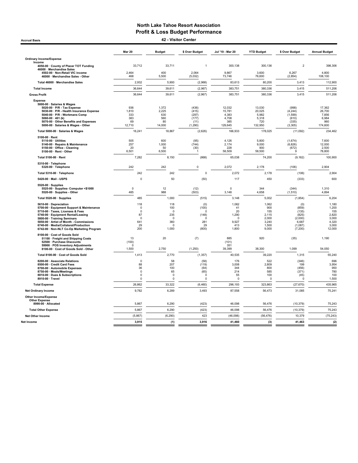Mar 20 Budget \$ Over Budget Jul '19 - Mar 20 YTD Budget \$ Over Budget Annual Budget Ordinary Income/Expense Income 4050-00 · County of Placer TOT Funding 2000 133,712 33,711 3300,138 300,138 300,136 300,136 398,306 46000 · Merchandise Sales 4502-00 · Non-Retail VIC income 2,464 400 2,064 9,867 3,600 6,267 4,800 46000 · Merchandise Sales - Other 468 5,500 (5,032) 73,746 76,600 (2,854) 108,100 Total 46000 · Merchandise Sales 2,932 5,900 (2,968) 83,613 80,200 3,413 112,900 Total Income 36,644 39,611 (2,967) 383,751 380,336 3,415 511,206 Gross Profit 36,644 39,611 (2,967) 383,751 380,336 3,415 511,206 Expense 5000-00 · Salaries & Wages 5020-00 · P/R - Tax Expense 936 1,372 (436) 12,032 13,030 (998) 17,362 5030-00 · P/R - Health Insurance Expense 1,810 2,225 (415) 15,781 20,025 (4,244) 26,700 5040-00 · P/R - Workmans Comp 333 630 (297) 4,383 5,982 (1,599) 7,856 5060-00 · 401 (k) 383 560 (177) 4,708 5,318 (610) 6,984 5070-00 · Other Benefits and Expenses 69 80 (11) 385 720 (335) 960 5000-00 · Salaries & Wages - Other 12,710 14,000 (1,290) 129,645 132,950 (3,305) 174,600 Total 5000-00 · Salaries & Wages **16,241** 18,867 (2,626) 166,933 178,025 (11,092) 234,462 5100-00 · Rent 5110-00 · Utilities 505 600 (95) 4,126 5,800 (1,674) 7,600 5140-00 · Repairs & Maintenance 257 1,000 (744) 2,174 9,000 (6,826) 12,000 5150-00 · Office - Cleaning 20 50 (30) 228 900 (672) 2,500 5100-00 · Rent - Other 6,501 6,500 1 58,509 58,500 9 78,800 Total 5100-00 · Rent 7,282 8,150 (868) 65,038 74,200 (9,162) 100,900 5310-00 · Telephone 5320-00 · Telephone 242 242 0 2,072 2,178 (106) 2,904 Total 5310-00 · Telephone 242 242 0 2,072 2,178 (106) 2,904 5420-00 · Mail - USPS 0 50 (50) 117 450 (333) 600 5520-00 · Supplies 5525-00 · Supplies- Computer <\$1000 0 12 (12) 0 344 (344) 1,310 5520-00 · Supplies - Other 485 988 (503) 3,148 4,658 (1,510) 4,894 Total 5520-00 · Supplies 485 1,000 (515) 3,148 5,002 (1,854) 6,204 5610-00 · Depreciation 118 118 (0) 1,062 1,062 (0) 1,180 5700-00 · Equipment Support & Maintenance 0 100 (100) 41 900 (859) 1,200 5710-00 · Taxes, Licenses & Fees 0 0 0 20 155 (135) 155 5740-00 · Equipment Rental/Leasing 87 235 (148) 1,290 2,115 (825) 2,820 5800-00 · Training Seminars 0 0 0 0 2,000 (2,000) 3,000 5850-00 · Artist of Month - Commissions 641 360 281 9,927 3,240 6,687 4,320 6740-00 · Media/Collateral/Production 29 0 29 413 1,500 (1,087) 3,000 6740-00 · Must - Communissions - Communissions - Communistic Definition of the Communistic Definition of the Co<br>8742-00 · Non-NLT Co-Op Marketing Program - 200 - 1,000 (800) - 1,800 - 9,000 (7,200) 12,000 1,000 (7,200) 12 8100-00 · Cost of Goods Sold 51100 · Freight and Shipping Costs 13 20 (7) 885 920 (35) 1,190 52500 · Purchase Discounts (100) (101) 59900 · POS Inventory Adjustments 0 351 8100-00 · Cost of Goods Sold - Other 1,500 2,750 (1,250) 39,399 38,300 1,099 54,050 Total 8100-00 · Cost of Goods Sold 1,413 2,770 (1,357) 40,535 39,220 1,315 55,240 8200-00 · Associate Relations 0 58 (58) 176 522 (346) 696 8500-00 · Credit Card Fees 88 207 (119) 3,008 2,809 199 3,954 8**700-00 · Automobile Expenses 36 100 (64) 344 800 (456) 950** 8750-00 · Meals/Meetings 0 65 (65) 214 585 (371) 780 8810-00 · Dues & Subscriptions 0 0 0 55 100 (45) 100 8910-00 · Travel 0 0 0 0 0 0 1,500 Total Expense 26,862 33,322 (6,460) 296,193 323,863 (27,670) 435,965 Net Ordinary Income 9,782 6,289 3,493 87,558 56,473 31,085 75,241 Other Income/Expense Other Expense<br>8990-00 : Allocated 8990-00 · Allocated 5,867 6,290 (423) 46,098 56,476 (10,379) 75,243 Total Other Expense 5,867 6,290 (423) 46,098 56,476 (10,379) 75,243 Net Other Income (5,867) (6,290) 423 (46,098) (56,476) 10,379 (75,243) Accrual Basis 42 - Visitor Center

Net Income 3,915 (1) 3,916 41,460 (3) 41,463 (2)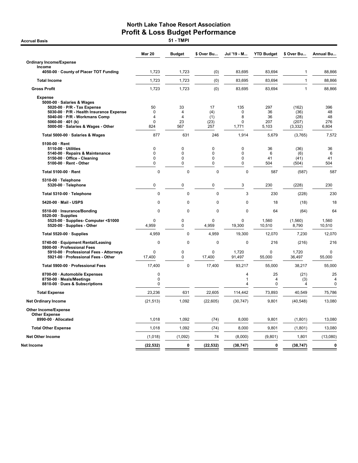**Accrual Basis** 

|                                                                                                                                                                                                         | <b>Mar 20</b>                                                | <b>Budget</b>             | \$ Over Bu                         | Jul '19 - M                                         | <b>YTD Budget</b>               | \$ Over Bu                                 | Annual Bu                           |
|---------------------------------------------------------------------------------------------------------------------------------------------------------------------------------------------------------|--------------------------------------------------------------|---------------------------|------------------------------------|-----------------------------------------------------|---------------------------------|--------------------------------------------|-------------------------------------|
| <b>Ordinary Income/Expense</b>                                                                                                                                                                          |                                                              |                           |                                    |                                                     |                                 |                                            |                                     |
| Income<br>4050-00 · County of Placer TOT Funding                                                                                                                                                        | 1,723                                                        | 1,723                     | (0)                                | 83,695                                              | 83,694                          | $\mathbf{1}$                               | 88,866                              |
| <b>Total Income</b>                                                                                                                                                                                     | 1,723                                                        | 1,723                     | (0)                                | 83,695                                              | 83,694                          | $\mathbf{1}$                               | 88,866                              |
| <b>Gross Profit</b>                                                                                                                                                                                     | 1,723                                                        | 1,723                     | (0)                                | 83,695                                              | 83,694                          | $\mathbf{1}$                               | 88,866                              |
| <b>Expense</b>                                                                                                                                                                                          |                                                              |                           |                                    |                                                     |                                 |                                            |                                     |
| 5000-00 · Salaries & Wages<br>5020-00 · P/R - Tax Expense<br>5030-00 · P/R - Health Insurance Expense<br>5040-00 · P/R - Workmans Comp<br>5060-00 $\cdot$ 401 (k)<br>5000-00 · Salaries & Wages - Other | 50<br>$\Omega$<br>$\overline{\mathbf{4}}$<br>$\Omega$<br>824 | 33<br>4<br>4<br>23<br>567 | 17<br>(4)<br>(1)<br>(23)<br>257    | 135<br>0<br>8<br>$\Omega$<br>1,771                  | 297<br>36<br>36<br>207<br>5,103 | (162)<br>(36)<br>(28)<br>(207)<br>(3, 332) | 396<br>48<br>48<br>276<br>6,804     |
| Total 5000-00 · Salaries & Wages                                                                                                                                                                        | 877                                                          | 631                       | 246                                | 1,914                                               | 5,679                           | (3,765)                                    | 7,572                               |
| 5100-00 · Rent<br>5110-00 · Utilities<br>5140-00 · Repairs & Maintenance<br>5150-00 · Office - Cleaning<br>5100-00 · Rent - Other                                                                       | 0<br>0<br>0<br>0                                             | 0<br>0<br>0<br>0          | $\mathbf 0$<br>0<br>0<br>$\pmb{0}$ | $\pmb{0}$<br>$\Omega$<br>$\mathbf 0$<br>$\mathbf 0$ | 36<br>6<br>41<br>504            | (36)<br>(6)<br>(41)<br>(504)               | 36<br>6<br>41<br>504                |
| Total 5100-00 · Rent                                                                                                                                                                                    | $\mathbf 0$                                                  | 0                         | $\mathbf 0$                        | $\mathbf 0$                                         | 587                             | (587)                                      | 587                                 |
| 5310-00 · Telephone<br>5320-00 · Telephone                                                                                                                                                              | 0                                                            | 0                         | $\mathbf 0$                        | 3                                                   | 230                             | (228)                                      | 230                                 |
| Total 5310-00 · Telephone                                                                                                                                                                               | $\mathbf 0$                                                  | $\mathbf 0$               | $\Omega$                           | 3                                                   | 230                             | (228)                                      | 230                                 |
| 5420-00 · Mail - USPS                                                                                                                                                                                   | $\mathbf 0$                                                  | $\mathbf 0$               | 0                                  | $\mathbf 0$                                         | 18                              | (18)                                       | 18                                  |
| 5510-00 · Insurance/Bonding                                                                                                                                                                             | $\Omega$                                                     | $\Omega$                  | $\Omega$                           | $\Omega$                                            | 64                              | (64)                                       | 64                                  |
| $5520-00 \cdot$ Supplies<br>5525-00 · Supplies- Computer <\$1000<br>5520-00 · Supplies - Other                                                                                                          | $\mathbf 0$<br>4,959                                         | 0<br>0                    | $\mathbf{0}$<br>4,959              | $\mathbf 0$<br>19,300                               | 1.560<br>10,510                 | (1,560)<br>8,790                           | 1,560<br>10,510                     |
| Total 5520-00 · Supplies                                                                                                                                                                                | 4,959                                                        | 0                         | 4,959                              | 19,300                                              | 12,070                          | 7,230                                      | 12,070                              |
| 5740-00 · Equipment Rental/Leasing                                                                                                                                                                      | $\mathbf 0$                                                  | 0                         | 0                                  | 0                                                   | 216                             | (216)                                      | 216                                 |
| 5900-00 · Professional Fees<br>5910-00 · Professional Fees - Attorneys<br>5921-00 · Professional Fees - Other                                                                                           | $\Omega$<br>17,400                                           | 0<br>0                    | $\mathbf{0}$<br>17,400             | 1,720<br>91,497                                     | $\Omega$<br>55,000              | 1,720<br>36,497                            | $\Omega$<br>55,000                  |
| Total 5900-00 · Professional Fees                                                                                                                                                                       | 17,400                                                       | 0                         | 17,400                             | 93,217                                              | 55,000                          | 38,217                                     | 55,000                              |
| 8700-00 · Automobile Expenses<br>8750-00 · Meals/Meetings<br>8810-00 · Dues & Subscriptions                                                                                                             | $\mathbf 0$<br>0<br>0                                        |                           |                                    | 4<br>1<br>4                                         | 25<br>$\overline{4}$<br>0       | (21)<br>(3)<br>4                           | 25<br>$\overline{4}$<br>$\mathbf 0$ |
| <b>Total Expense</b>                                                                                                                                                                                    | 23,236                                                       | 631                       | 22,605                             | 114,442                                             | 73,893                          | 40,549                                     | 75,786                              |
| <b>Net Ordinary Income</b>                                                                                                                                                                              | (21, 513)                                                    | 1,092                     | (22, 605)                          | (30, 747)                                           | 9,801                           | (40, 548)                                  | 13,080                              |
| <b>Other Income/Expense</b><br><b>Other Expense</b>                                                                                                                                                     |                                                              |                           |                                    |                                                     |                                 |                                            |                                     |
| 8990-00 · Allocated                                                                                                                                                                                     | 1,018                                                        | 1,092                     | (74)                               | 8,000                                               | 9,801                           | (1,801)                                    | 13,080                              |
| <b>Total Other Expense</b>                                                                                                                                                                              | 1,018                                                        | 1,092                     | (74)                               | 8,000                                               | 9,801                           | (1,801)                                    | 13,080                              |
| <b>Net Other Income</b>                                                                                                                                                                                 | (1,018)                                                      | (1,092)                   | 74                                 | (8,000)                                             | (9,801)                         | 1,801                                      | (13,080)                            |
| Net Income                                                                                                                                                                                              | (22, 532)                                                    | 0                         | (22, 532)                          | (38, 747)                                           | 0                               | (38, 747)                                  | $\bf{0}$                            |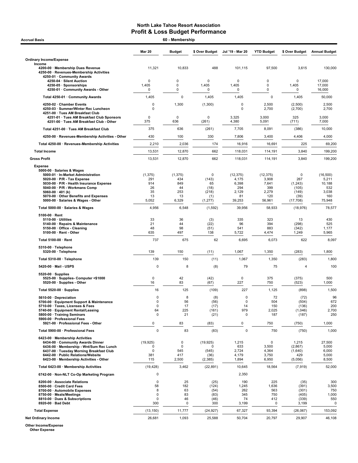| <b>Accrual Basis</b>                                                                                                                                                                                                                                               | 60 - Membership                                   |                                           |                                              |                                                   |                                                    |                                                     |                                                     |
|--------------------------------------------------------------------------------------------------------------------------------------------------------------------------------------------------------------------------------------------------------------------|---------------------------------------------------|-------------------------------------------|----------------------------------------------|---------------------------------------------------|----------------------------------------------------|-----------------------------------------------------|-----------------------------------------------------|
|                                                                                                                                                                                                                                                                    | <b>Mar 20</b>                                     | <b>Budget</b>                             | \$ Over Budget                               | Jul '19 - Mar 20                                  | <b>YTD Budget</b>                                  | \$ Over Budget                                      | <b>Annual Budget</b>                                |
| <b>Ordinary Income/Expense</b>                                                                                                                                                                                                                                     |                                                   |                                           |                                              |                                                   |                                                    |                                                     |                                                     |
| Income<br>4200-00 · Membership Dues Revenue<br>4250-00 · Revenues-Membership Activities<br>4250-01 · Community Awards                                                                                                                                              | 11,321                                            | 10,833                                    | 488                                          | 101,115                                           | 97,500                                             | 3,615                                               | 130,000                                             |
| 4250-04 · Silent Auction<br>4250-05 · Sponsorships<br>4250-01 · Community Awards - Other                                                                                                                                                                           | 0<br>1,405<br>0                                   | 0<br>0<br>0                               | 0<br>1,405<br>0                              | 0<br>1,405<br>0                                   | 0<br>0<br>0                                        | 0<br>1,405<br>0                                     | 17,000<br>17,000<br>16,000                          |
| Total 4250-01 · Community Awards                                                                                                                                                                                                                                   | 1,405                                             | $\mathbf 0$                               | 1,405                                        | 1,405                                             | 0                                                  | 1,405                                               | 50,000                                              |
| 4250-02 · Chamber Events<br>4250-03 · Summer/Winter Rec Luncheon<br>4251-00 · Tues AM Breakfast Club                                                                                                                                                               | 0<br>0                                            | 1,300                                     | (1,300)                                      | 0<br>$\Omega$                                     | 2,500<br>2,700                                     | (2,500)<br>(2,700)                                  | 2,500<br>2,700                                      |
| 4251-01 · Tues AM Breakfast Club Sponsors<br>4251-00 · Tues AM Breakfast Club - Other                                                                                                                                                                              | 0<br>375                                          | 0<br>636                                  | $\mathbf 0$<br>(261)                         | 3,325<br>4,380                                    | 3,000<br>5,091                                     | 325<br>(711)                                        | 3,000<br>7,000                                      |
| Total 4251-00 · Tues AM Breakfast Club                                                                                                                                                                                                                             | 375                                               | 636                                       | (261)                                        | 7,705                                             | 8,091                                              | (386)                                               | 10,000                                              |
| 4250-00 · Revenues-Membership Activities - Other                                                                                                                                                                                                                   | 430                                               | 100                                       | 330                                          | 7,806                                             | 3,400                                              | 4,406                                               | 4,000                                               |
| Total 4250-00 · Revenues-Membership Activities                                                                                                                                                                                                                     | 2,210                                             | 2,036                                     | 174                                          | 16,916                                            | 16,691                                             | 225                                                 | 69,200                                              |
| <b>Total Income</b>                                                                                                                                                                                                                                                | 13,531                                            | 12,870                                    | 662                                          | 118,031                                           | 114,191                                            | 3,840                                               | 199,200                                             |
| <b>Gross Profit</b>                                                                                                                                                                                                                                                | 13,531                                            | 12,870                                    | 662                                          | 118,031                                           | 114,191                                            | 3,840                                               | 199,200                                             |
| <b>Expense</b><br>5000-00 · Salaries & Wages<br>5000-01 · In-Market Administration<br>5020-00 · P/R - Tax Expense<br>5030-00 · P/R - Health Insurance Expense<br>5040-00 · P/R - Workmans Comp<br>5060-00 $\cdot$ 401 (k)<br>5070-00 · Other Benefits and Expenses | (1, 375)<br>291<br>914<br>26<br>35<br>13<br>5,052 | (1, 375)<br>434<br>849<br>44<br>253<br>13 | 0<br>(143)<br>65<br>(18)<br>(218)<br>(1)     | (12, 375)<br>4,175<br>6,398<br>294<br>2,129<br>81 | (12, 375)<br>3,908<br>7,641<br>399<br>2,279<br>120 | 0<br>267<br>(1,243)<br>(105)<br>(149)<br>(39)       | (16, 500)<br>5,211<br>10,188<br>532<br>3,038<br>160 |
| 5000-00 · Salaries & Wages - Other                                                                                                                                                                                                                                 |                                                   | 6,329                                     | (1, 277)                                     | 39,253                                            | 56,961                                             | (17, 708)                                           | 75,948                                              |
| Total 5000-00 · Salaries & Wages                                                                                                                                                                                                                                   | 4,956                                             | 6,548                                     | (1, 592)                                     | 39,956                                            | 58,933                                             | (18, 976)                                           | 78,577                                              |
| $5100-00 \cdot$ Rent<br>5110-00 · Utilities<br>5140-00 · Repairs & Maintenance<br>5150-00 · Office - Cleaning<br>5100-00 · Rent - Other                                                                                                                            | 33<br>21<br>48<br>635                             | 36<br>44<br>98<br>497                     | (3)<br>(22)<br>(51)<br>138                   | 335<br>96<br>541<br>5,722                         | 323<br>394<br>883<br>4,474                         | 13<br>(298)<br>(342)<br>1,249                       | 430<br>525<br>1,177<br>5,965                        |
| Total 5100-00 · Rent                                                                                                                                                                                                                                               | 737                                               | 675                                       | 62                                           | 6,695                                             | 6,073                                              | 622                                                 | 8,097                                               |
| $5310-00 \cdot$ Telephone<br>5320-00 · Telephone                                                                                                                                                                                                                   | 139                                               | 150                                       | (11)                                         | 1,067                                             | 1,350                                              | (283)                                               | 1,800                                               |
| Total 5310-00 · Telephone                                                                                                                                                                                                                                          | 139                                               | 150                                       | (11)                                         | 1,067                                             | 1,350                                              | (283)                                               | 1,800                                               |
| 5420-00 Mail - USPS                                                                                                                                                                                                                                                | 0                                                 | 8                                         | (8)                                          | 79                                                | 75                                                 | 4                                                   | 100                                                 |
| $5520-00 \cdot$ Supplies<br>5525-00 · Supplies Computer <\$1000<br>5520-00 · Supplies - Other                                                                                                                                                                      | 0<br>16                                           | 42<br>83                                  | (42)<br>(67)                                 | 0<br>227                                          | 375<br>750                                         | (375)<br>(523)                                      | 500<br>1,000                                        |
| Total 5520-00 · Supplies                                                                                                                                                                                                                                           | 16                                                | 125                                       | (109)                                        | 227                                               | 1,125                                              | (898)                                               | 1,500                                               |
| 5610-00 Depreciation<br>5700-00 · Equipment Support & Maintenance<br>5710-00 · Taxes, Licenses & Fees<br>5740-00 · Equipment Rental/Leasing<br>5800-00 · Training Seminars<br>5900-00 · Professional Fees<br>5921-00 · Professional Fees - Other                   | 0<br>0<br>$\pmb{0}$<br>64<br>$\mathbf 0$<br>0     | 8<br>56<br>17<br>225<br>21<br>83          | (8)<br>(56)<br>(17)<br>(161)<br>(21)<br>(83) | 0<br>$\pmb{0}$<br>14<br>979<br>$\Omega$<br>0      | 72<br>504<br>150<br>2,025<br>187<br>750            | (72)<br>(504)<br>(136)<br>(1,046)<br>(187)<br>(750) | 96<br>672<br>200<br>2,700<br>250<br>1,000           |
| Total 5900-00 · Professional Fees                                                                                                                                                                                                                                  | $\mathbf 0$                                       | 83                                        | (83)                                         | $\mathbf 0$                                       | 750                                                | (750)                                               | 1,000                                               |
| 6423-00 · Membership Activities                                                                                                                                                                                                                                    |                                                   |                                           |                                              |                                                   |                                                    |                                                     |                                                     |
| 6434-00 Community Awards Dinner<br>6436-00 · Membership - Wnt/Sum Rec Lunch<br>6437-00 · Tuesday Morning Breakfast Club<br>6442-00 · Public Relations/Website<br>6423-00 · Membership Activities - Other                                                           | (19, 925)<br>0<br>0<br>381<br>115                 | 0<br>0<br>545<br>417<br>2,500             | (19, 925)<br>0<br>(545)<br>(36)<br>(2, 385)  | 1,215<br>633<br>2,724<br>4,179<br>1,894           | 0<br>3,500<br>4,364<br>3,750<br>6,950              | 1,215<br>(2,867)<br>(1,640)<br>429<br>(5,056)       | 27,500<br>5,000<br>6,000<br>5,000<br>8,500          |
| Total 6423-00 · Membership Activities                                                                                                                                                                                                                              | (19, 428)                                         | 3,462                                     | (22, 891)                                    | 10,645                                            | 18,564                                             | (7, 919)                                            | 52,000                                              |
| 6742-00 · Non-NLT Co-Op Marketing Program                                                                                                                                                                                                                          | 0                                                 |                                           |                                              | 2,350                                             |                                                    |                                                     |                                                     |
| 8200-00 · Associate Relations<br>8500-00 Credit Card Fees<br>8700-00 · Automobile Expenses<br>8750-00 · Meals/Meetings<br>8810-00 · Dues & Subscriptions<br>8920-00 · Bad Debt                                                                                     | $\mathbf 0$<br>58<br>8<br>0<br>0<br>300           | 25<br>182<br>63<br>83<br>46<br>0          | (25)<br>(124)<br>(54)<br>(83)<br>(46)<br>300 | 190<br>1,245<br>262<br>345<br>74<br>3,199         | 225<br>1,636<br>563<br>750<br>412<br>0             | (35)<br>(391)<br>(301)<br>(405)<br>(339)<br>3,199   | 300<br>3,500<br>750<br>1,000<br>550<br>0            |
| <b>Total Expense</b>                                                                                                                                                                                                                                               | (13, 150)                                         | 11,777                                    | (24, 927)                                    | 67,327                                            | 93,394                                             | (26,067)                                            | 153,092                                             |
| <b>Net Ordinary Income</b>                                                                                                                                                                                                                                         | 26,681                                            | 1,093                                     | 25,588                                       | 50,704                                            | 20,797                                             | 29,907                                              | 46,108                                              |

Other Income/Expense Other Expense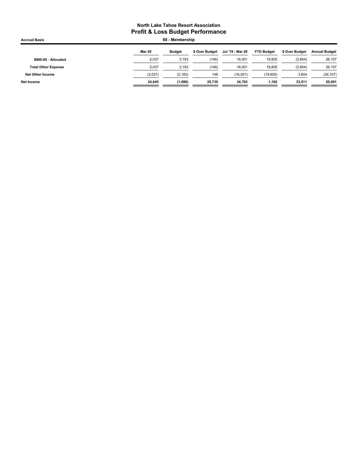| <b>Accrual Basis</b>       |               | 60 - Membership |                |                  |                   |                |                      |
|----------------------------|---------------|-----------------|----------------|------------------|-------------------|----------------|----------------------|
|                            | <b>Mar 20</b> | <b>Budget</b>   | \$ Over Budget | Jul '19 - Mar 20 | <b>YTD Budget</b> | \$ Over Budget | <b>Annual Budget</b> |
| 8990-00 · Allocated        | 2,037         | 2,183           | (146)          | 16,001           | 19,605            | (3,604)        | 26,107               |
| <b>Total Other Expense</b> | 2.037         | 2.183           | (146)          | 16.001           | 19,605            | (3,604)        | 26,107               |
| <b>Net Other Income</b>    | (2,037)       | (2, 183)        | 146            | (16,001)         | (19,605)          | 3,604          | (26, 107)            |
| Net Income                 | 24,645        | (1,090)         | 25,735         | 34.703           | 1,192             | 33.511         | 20,001               |